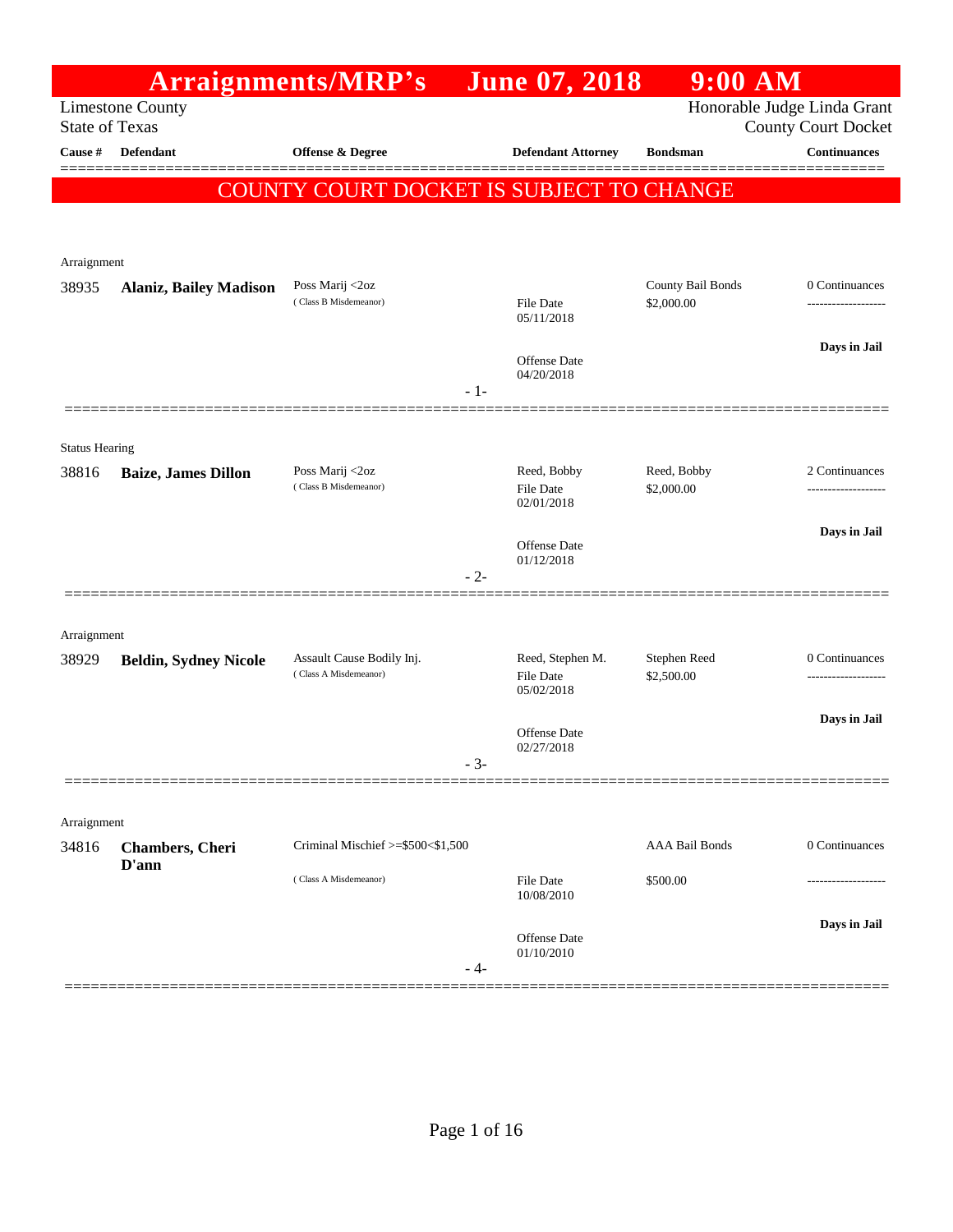|                       |                                | Arraignments/MRP's                                 |       | <b>June 07, 2018</b>                   | $9:00$ AM                       |                                                           |
|-----------------------|--------------------------------|----------------------------------------------------|-------|----------------------------------------|---------------------------------|-----------------------------------------------------------|
| <b>State of Texas</b> | <b>Limestone County</b>        |                                                    |       |                                        |                                 | Honorable Judge Linda Grant<br><b>County Court Docket</b> |
| Cause #               | <b>Defendant</b>               | Offense & Degree                                   |       | <b>Defendant Attorney</b>              | <b>Bondsman</b>                 | <b>Continuances</b>                                       |
|                       |                                | COUNTY COURT DOCKET IS SUBJECT TO CHANGE           |       |                                        |                                 |                                                           |
|                       |                                |                                                    |       |                                        |                                 |                                                           |
| Arraignment           |                                |                                                    |       |                                        |                                 |                                                           |
| 38935                 | <b>Alaniz, Bailey Madison</b>  | Poss Marij <2oz<br>(Class B Misdemeanor)           |       | File Date<br>05/11/2018                | County Bail Bonds<br>\$2,000.00 | 0 Continuances                                            |
|                       |                                |                                                    | $-1-$ | Offense Date<br>04/20/2018             |                                 | Days in Jail                                              |
|                       |                                |                                                    |       |                                        |                                 |                                                           |
| <b>Status Hearing</b> |                                |                                                    |       |                                        |                                 |                                                           |
| 38816                 | <b>Baize, James Dillon</b>     | Poss Marij <2oz<br>(Class B Misdemeanor)           |       | Reed, Bobby<br>File Date<br>02/01/2018 | Reed, Bobby<br>\$2,000.00       | 2 Continuances                                            |
|                       |                                |                                                    |       | Offense Date<br>01/12/2018             |                                 | Days in Jail                                              |
|                       |                                |                                                    | $-2-$ |                                        |                                 |                                                           |
|                       |                                |                                                    |       |                                        |                                 |                                                           |
| Arraignment<br>38929  | <b>Beldin, Sydney Nicole</b>   | Assault Cause Bodily Inj.<br>(Class A Misdemeanor) |       | Reed, Stephen M.<br><b>File Date</b>   | Stephen Reed<br>\$2,500.00      | 0 Continuances                                            |
|                       |                                |                                                    |       | 05/02/2018                             |                                 |                                                           |
|                       |                                |                                                    |       | Offense Date                           |                                 | Days in Jail                                              |
|                       |                                |                                                    | $3 -$ | 02/27/2018                             |                                 |                                                           |
|                       |                                |                                                    |       |                                        |                                 |                                                           |
| Arraignment<br>34816  | <b>Chambers</b> , Cheri        | Criminal Mischief >=\$500<\$1,500                  |       |                                        | <b>AAA Bail Bonds</b>           | 0 Continuances                                            |
|                       | D'ann<br>(Class A Misdemeanor) |                                                    |       | <b>File Date</b><br>10/08/2010         | \$500.00                        |                                                           |
|                       |                                |                                                    |       |                                        |                                 | Days in Jail                                              |
|                       |                                |                                                    | $-4-$ | Offense Date<br>01/10/2010             |                                 |                                                           |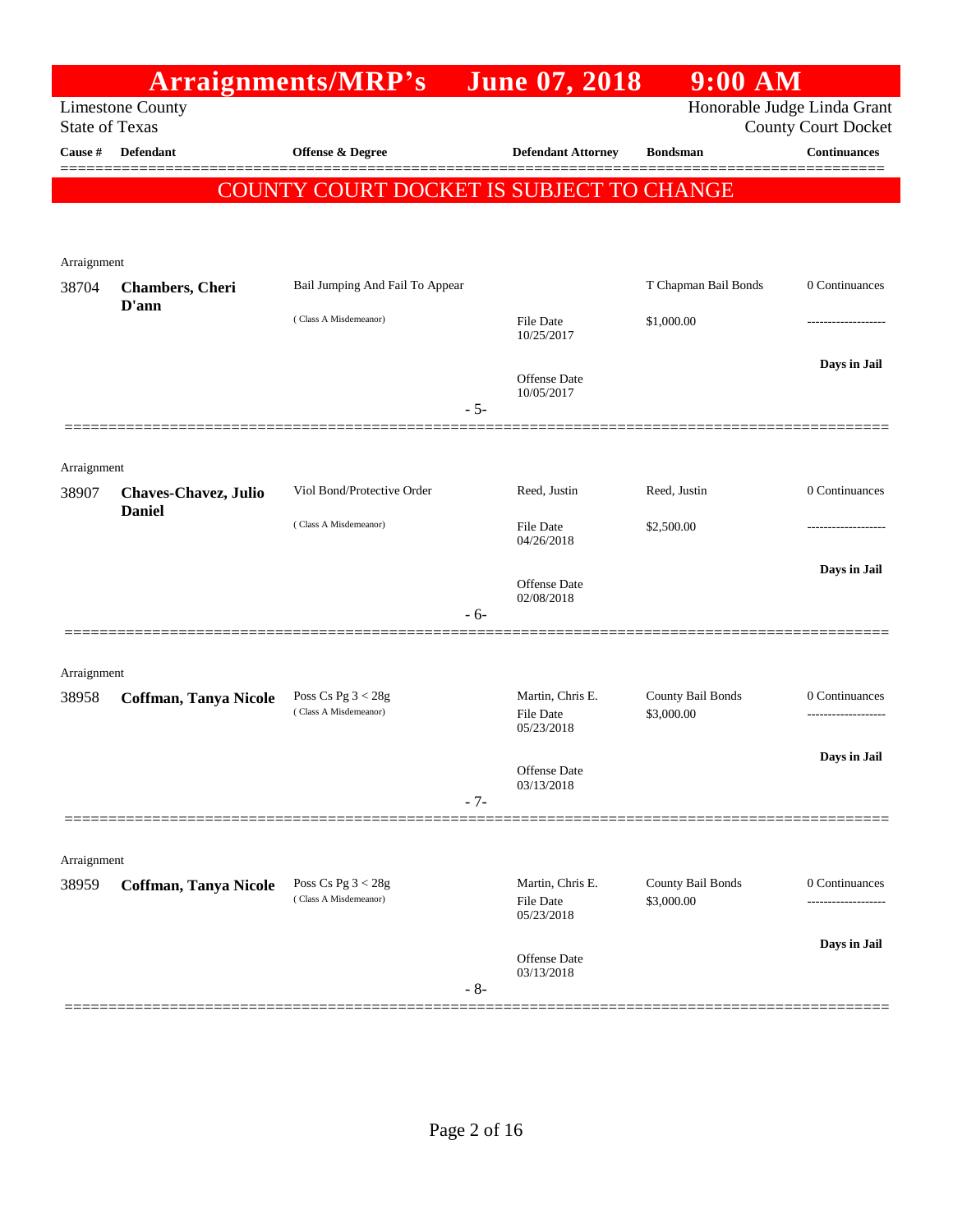|                       |                              | Arraignments/MRP's                       |       | <b>June 07, 2018</b>           | $9:00$ AM            |                             |
|-----------------------|------------------------------|------------------------------------------|-------|--------------------------------|----------------------|-----------------------------|
|                       | <b>Limestone County</b>      |                                          |       |                                |                      | Honorable Judge Linda Grant |
| <b>State of Texas</b> |                              |                                          |       |                                |                      | <b>County Court Docket</b>  |
| Cause #               | <b>Defendant</b>             | <b>Offense &amp; Degree</b>              |       | <b>Defendant Attorney</b>      | <b>Bondsman</b>      | <b>Continuances</b>         |
|                       |                              | COUNTY COURT DOCKET IS SUBJECT TO CHANGE |       |                                |                      |                             |
|                       |                              |                                          |       |                                |                      |                             |
|                       |                              |                                          |       |                                |                      |                             |
| Arraignment<br>38704  | Chambers, Cheri              | Bail Jumping And Fail To Appear          |       |                                | T Chapman Bail Bonds | 0 Continuances              |
|                       | D'ann                        |                                          |       |                                |                      |                             |
|                       |                              | (Class A Misdemeanor)                    |       | <b>File Date</b><br>10/25/2017 | \$1,000.00           |                             |
|                       |                              |                                          |       |                                |                      | Days in Jail                |
|                       |                              |                                          |       | Offense Date<br>10/05/2017     |                      |                             |
|                       |                              |                                          | $-5-$ |                                |                      |                             |
|                       |                              |                                          |       |                                |                      |                             |
| Arraignment           |                              |                                          |       |                                |                      |                             |
| 38907                 | <b>Chaves-Chavez, Julio</b>  | Viol Bond/Protective Order               |       | Reed, Justin                   | Reed, Justin         | 0 Continuances              |
|                       | <b>Daniel</b>                | (Class A Misdemeanor)                    |       | <b>File Date</b>               | \$2,500.00           |                             |
|                       |                              |                                          |       | 04/26/2018                     |                      |                             |
|                       |                              |                                          |       | Offense Date                   |                      | Days in Jail                |
|                       |                              |                                          | $-6-$ | 02/08/2018                     |                      |                             |
|                       |                              |                                          |       |                                |                      |                             |
| Arraignment           |                              |                                          |       |                                |                      |                             |
| 38958                 | Coffman, Tanya Nicole        | Poss Cs Pg $3 < 28g$                     |       | Martin, Chris E.               | County Bail Bonds    | 0 Continuances              |
|                       |                              | (Class A Misdemeanor)                    |       | <b>File Date</b><br>05/23/2018 | \$3,000.00           |                             |
|                       |                              |                                          |       |                                |                      | Days in Jail                |
|                       |                              |                                          |       | Offense Date<br>03/13/2018     |                      |                             |
|                       |                              |                                          | $-7-$ |                                |                      |                             |
|                       |                              |                                          |       |                                |                      |                             |
| Arraignment           |                              |                                          |       |                                |                      |                             |
| 38959                 | <b>Coffman, Tanya Nicole</b> | Poss Cs Pg $3 < 28g$                     |       | Martin, Chris E.               | County Bail Bonds    | 0 Continuances              |
|                       |                              | (Class A Misdemeanor)                    |       | File Date<br>05/23/2018        | \$3,000.00           |                             |
|                       |                              |                                          |       |                                |                      | Days in Jail                |
|                       |                              |                                          |       | Offense Date<br>03/13/2018     |                      |                             |
|                       |                              |                                          | $-8-$ |                                |                      |                             |
|                       |                              |                                          |       |                                |                      |                             |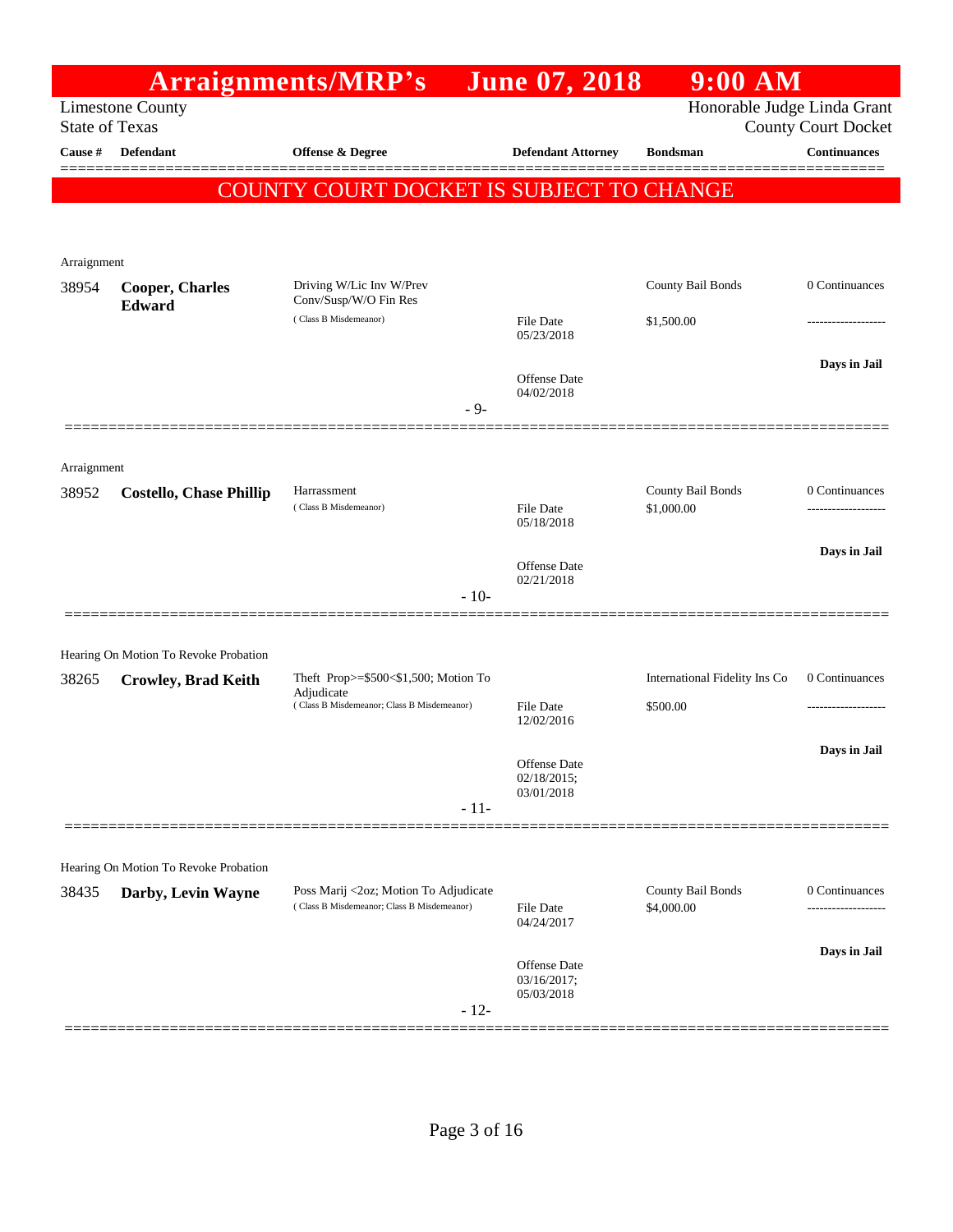|                       |                                                             | Arraignments/MRP's                                       |        | <b>June 07, 2018</b>           | $9:00$ AM                       |                            |
|-----------------------|-------------------------------------------------------------|----------------------------------------------------------|--------|--------------------------------|---------------------------------|----------------------------|
| <b>State of Texas</b> | <b>Limestone County</b>                                     |                                                          |        |                                | Honorable Judge Linda Grant     | <b>County Court Docket</b> |
| Cause #               | <b>Defendant</b>                                            | <b>Offense &amp; Degree</b>                              |        | <b>Defendant Attorney</b>      | <b>Bondsman</b>                 | <b>Continuances</b>        |
|                       |                                                             | <b>COUNTY COURT DOCKET IS SUBJECT TO CHANGE</b>          |        |                                |                                 | ========                   |
|                       |                                                             |                                                          |        |                                |                                 |                            |
| Arraignment           |                                                             |                                                          |        |                                |                                 |                            |
| 38954                 | <b>Cooper, Charles</b><br>Edward                            | Driving W/Lic Inv W/Prev<br>Conv/Susp/W/O Fin Res        |        |                                | County Bail Bonds               | 0 Continuances             |
|                       |                                                             | (Class B Misdemeanor)                                    |        | File Date<br>05/23/2018        | \$1,500.00                      |                            |
|                       |                                                             |                                                          | $-9-$  | Offense Date<br>04/02/2018     |                                 | Days in Jail               |
|                       |                                                             |                                                          |        |                                |                                 |                            |
| Arraignment           |                                                             |                                                          |        |                                |                                 |                            |
| 38952                 | <b>Costello, Chase Phillip</b>                              | Harrassment<br>(Class B Misdemeanor)                     |        | <b>File Date</b><br>05/18/2018 | County Bail Bonds<br>\$1,000.00 | 0 Continuances             |
|                       |                                                             |                                                          |        | Offense Date                   |                                 | Days in Jail               |
|                       |                                                             |                                                          | $-10-$ | 02/21/2018                     |                                 |                            |
|                       | Hearing On Motion To Revoke Probation                       |                                                          |        |                                |                                 |                            |
| 38265                 | <b>Crowley, Brad Keith</b>                                  | Theft Prop>=\$500<\$1,500; Motion To                     |        |                                | International Fidelity Ins Co   | 0 Continuances             |
|                       |                                                             | Adjudicate<br>(Class B Misdemeanor; Class B Misdemeanor) |        | File Date<br>12/02/2016        | \$500.00                        |                            |
|                       |                                                             |                                                          |        | Offense Date<br>02/18/2015;    |                                 | Days in Jail               |
|                       |                                                             |                                                          | $-11-$ | 03/01/2018                     |                                 |                            |
|                       |                                                             |                                                          |        |                                |                                 |                            |
| 38435                 | Hearing On Motion To Revoke Probation<br>Darby, Levin Wayne | Poss Marij <2oz; Motion To Adjudicate                    |        |                                | County Bail Bonds               | 0 Continuances             |
|                       |                                                             | (Class B Misdemeanor; Class B Misdemeanor)               |        | <b>File Date</b><br>04/24/2017 | \$4,000.00                      |                            |
|                       |                                                             |                                                          |        | Offense Date<br>03/16/2017;    |                                 | Days in Jail               |
|                       |                                                             |                                                          | $-12-$ | 05/03/2018                     |                                 |                            |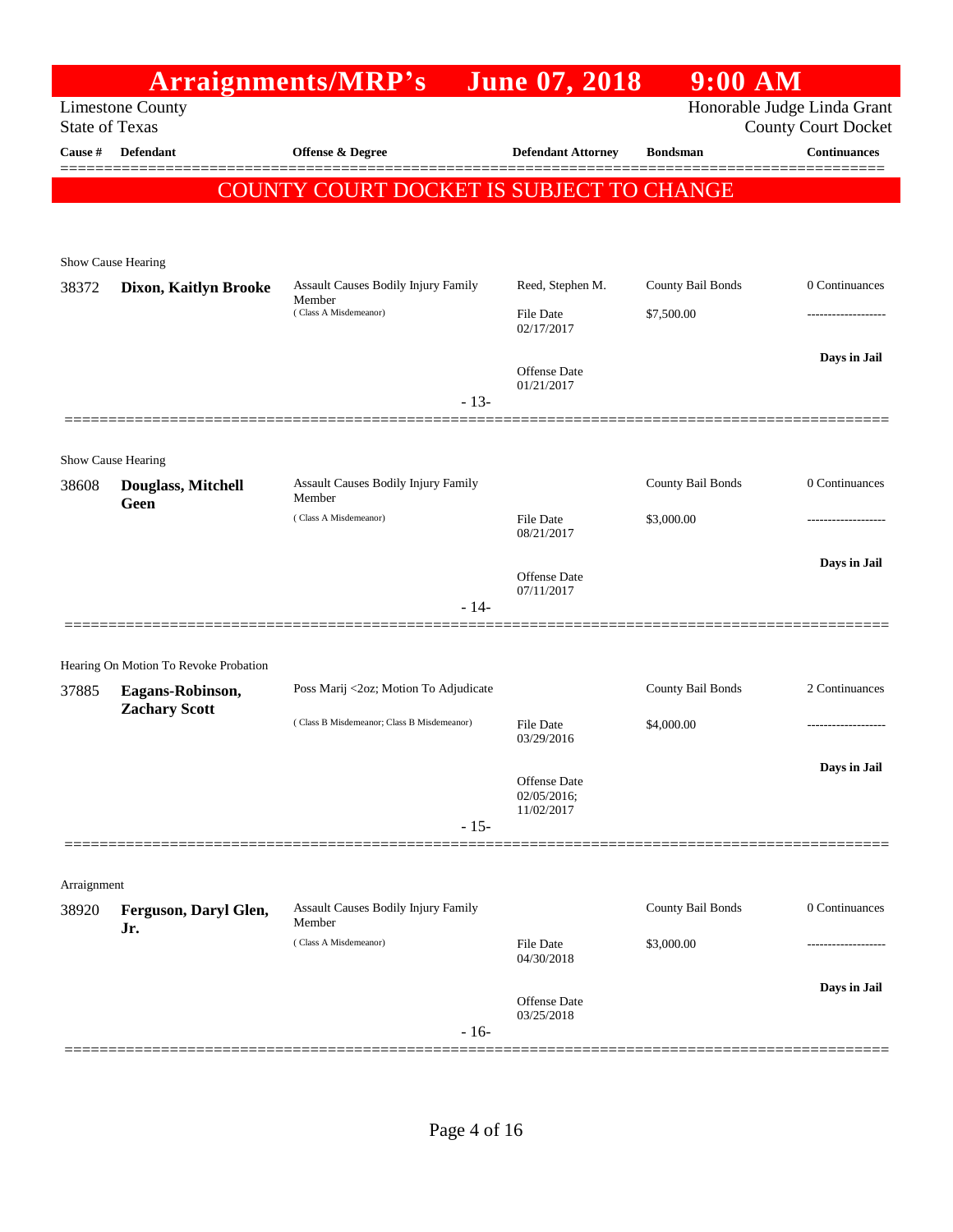|                                                  |                                                                  |                                        |                                                                                                                                                                                                           | $9:00$ AM                                                        |                                                                  |
|--------------------------------------------------|------------------------------------------------------------------|----------------------------------------|-----------------------------------------------------------------------------------------------------------------------------------------------------------------------------------------------------------|------------------------------------------------------------------|------------------------------------------------------------------|
| <b>Limestone County</b><br><b>State of Texas</b> |                                                                  |                                        |                                                                                                                                                                                                           |                                                                  | Honorable Judge Linda Grant<br><b>County Court Docket</b>        |
| Defendant                                        | Offense & Degree                                                 |                                        |                                                                                                                                                                                                           | <b>Bondsman</b>                                                  | <b>Continuances</b>                                              |
|                                                  |                                                                  |                                        |                                                                                                                                                                                                           |                                                                  |                                                                  |
|                                                  |                                                                  |                                        |                                                                                                                                                                                                           |                                                                  |                                                                  |
|                                                  |                                                                  |                                        |                                                                                                                                                                                                           |                                                                  |                                                                  |
| Dixon, Kaitlyn Brooke                            |                                                                  |                                        | Reed, Stephen M.                                                                                                                                                                                          | County Bail Bonds                                                | 0 Continuances                                                   |
|                                                  | (Class A Misdemeanor)                                            |                                        | <b>File Date</b><br>02/17/2017                                                                                                                                                                            | \$7,500.00                                                       |                                                                  |
|                                                  |                                                                  |                                        | <b>Offense</b> Date<br>01/21/2017                                                                                                                                                                         |                                                                  | Days in Jail                                                     |
|                                                  |                                                                  |                                        |                                                                                                                                                                                                           |                                                                  |                                                                  |
| Show Cause Hearing                               |                                                                  |                                        |                                                                                                                                                                                                           |                                                                  |                                                                  |
| Douglass, Mitchell                               |                                                                  |                                        |                                                                                                                                                                                                           | County Bail Bonds                                                | 0 Continuances                                                   |
|                                                  | (Class A Misdemeanor)                                            |                                        | <b>File Date</b><br>08/21/2017                                                                                                                                                                            | \$3,000.00                                                       |                                                                  |
|                                                  |                                                                  |                                        |                                                                                                                                                                                                           |                                                                  | Days in Jail                                                     |
|                                                  |                                                                  |                                        | 07/11/2017                                                                                                                                                                                                |                                                                  |                                                                  |
|                                                  |                                                                  |                                        |                                                                                                                                                                                                           |                                                                  |                                                                  |
| Hearing On Motion To Revoke Probation            |                                                                  |                                        |                                                                                                                                                                                                           |                                                                  |                                                                  |
| Eagans-Robinson,                                 |                                                                  |                                        |                                                                                                                                                                                                           | County Bail Bonds                                                | 2 Continuances                                                   |
|                                                  | (Class B Misdemeanor; Class B Misdemeanor)                       |                                        | <b>File Date</b><br>03/29/2016                                                                                                                                                                            | \$4,000.00                                                       | .                                                                |
|                                                  |                                                                  |                                        | Offense Date<br>02/05/2016;                                                                                                                                                                               |                                                                  | Days in Jail                                                     |
|                                                  |                                                                  |                                        | 11/02/2017                                                                                                                                                                                                |                                                                  |                                                                  |
|                                                  |                                                                  |                                        |                                                                                                                                                                                                           |                                                                  |                                                                  |
| Arraignment                                      |                                                                  |                                        |                                                                                                                                                                                                           |                                                                  |                                                                  |
| Ferguson, Daryl Glen,                            | Member                                                           |                                        |                                                                                                                                                                                                           | County Bail Bonds                                                | 0 Continuances                                                   |
|                                                  | (Class A Misdemeanor)                                            |                                        | <b>File Date</b><br>04/30/2018                                                                                                                                                                            | \$3,000.00                                                       |                                                                  |
|                                                  |                                                                  |                                        |                                                                                                                                                                                                           |                                                                  | Days in Jail                                                     |
|                                                  |                                                                  |                                        | 03/25/2018                                                                                                                                                                                                |                                                                  |                                                                  |
|                                                  | Show Cause Hearing<br><b>Geen</b><br><b>Zachary Scott</b><br>Jr. | Arraignments/MRP's<br>Member<br>Member | Assault Causes Bodily Injury Family<br>$-13-$<br>Assault Causes Bodily Injury Family<br>$-14-$<br>Poss Marij <2oz; Motion To Adjudicate<br>$-15-$<br><b>Assault Causes Bodily Injury Family</b><br>$-16-$ | <b>Defendant Attorney</b><br><b>Offense</b> Date<br>Offense Date | <b>June 07, 2018</b><br>COUNTY COURT DOCKET IS SUBJECT TO CHANGE |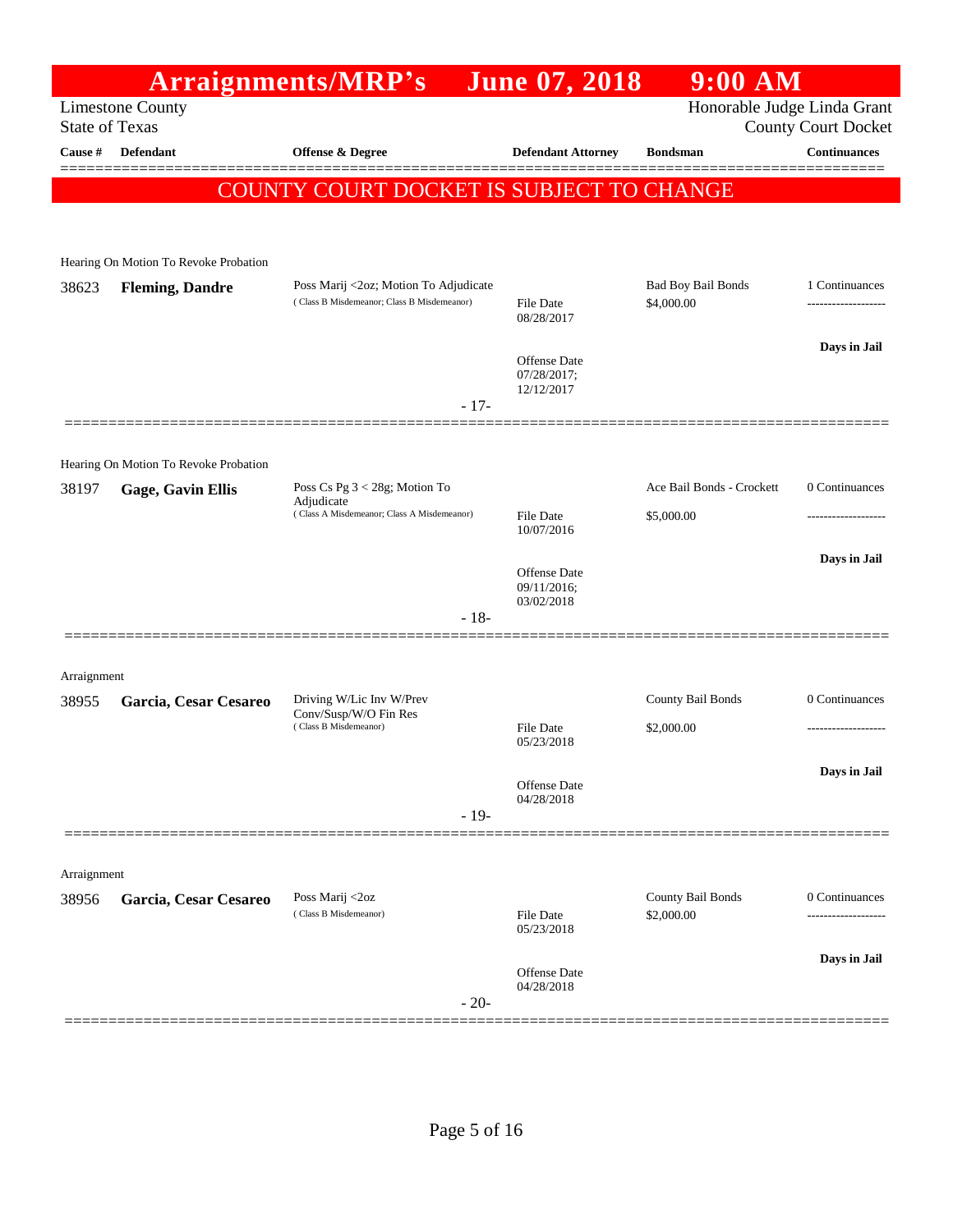|             |                                                  | <b>Arraignments/MRP's</b>                                                           | <b>June 07, 2018</b>                             | <b>9:00 AM</b>                          |                                       |
|-------------|--------------------------------------------------|-------------------------------------------------------------------------------------|--------------------------------------------------|-----------------------------------------|---------------------------------------|
|             | <b>Limestone County</b><br><b>State of Texas</b> |                                                                                     |                                                  | Honorable Judge Linda Grant             | <b>County Court Docket</b>            |
| Cause #     | <b>Defendant</b>                                 | <b>Offense &amp; Degree</b>                                                         | <b>Defendant Attorney</b>                        | <b>Bondsman</b>                         | <b>Continuances</b>                   |
|             |                                                  |                                                                                     |                                                  |                                         |                                       |
|             |                                                  | COUNTY COURT DOCKET IS SUBJECT TO CHANGE                                            |                                                  |                                         |                                       |
|             | Hearing On Motion To Revoke Probation            |                                                                                     |                                                  |                                         |                                       |
| 38623       | <b>Fleming, Dandre</b>                           | Poss Marij <2oz; Motion To Adjudicate<br>(Class B Misdemeanor; Class B Misdemeanor) | File Date<br>08/28/2017                          | <b>Bad Boy Bail Bonds</b><br>\$4,000.00 | 1 Continuances<br>------------------- |
|             |                                                  |                                                                                     | <b>Offense Date</b><br>07/28/2017;<br>12/12/2017 |                                         | Days in Jail                          |
|             |                                                  | $-17-$                                                                              |                                                  |                                         |                                       |
|             | Hearing On Motion To Revoke Probation            |                                                                                     |                                                  |                                         |                                       |
| 38197       | <b>Gage, Gavin Ellis</b>                         | Poss Cs Pg 3 < 28g; Motion To<br>Adjudicate                                         |                                                  | Ace Bail Bonds - Crockett               | 0 Continuances                        |
|             |                                                  | (Class A Misdemeanor; Class A Misdemeanor)                                          | <b>File Date</b><br>10/07/2016                   | \$5,000.00                              | ------------------                    |
|             |                                                  |                                                                                     | <b>Offense Date</b><br>09/11/2016;<br>03/02/2018 |                                         | Days in Jail                          |
|             |                                                  | $-18-$                                                                              |                                                  |                                         |                                       |
| Arraignment |                                                  |                                                                                     |                                                  |                                         |                                       |
| 38955       | Garcia, Cesar Cesareo                            | Driving W/Lic Inv W/Prev<br>Conv/Susp/W/O Fin Res                                   |                                                  | County Bail Bonds                       | 0 Continuances                        |
|             |                                                  | (Class B Misdemeanor)                                                               | <b>File Date</b><br>05/23/2018                   | \$2,000.00                              | -------------------                   |
|             |                                                  |                                                                                     | Offense Date                                     |                                         | Days in Jail                          |
|             |                                                  | $-19-$                                                                              | 04/28/2018                                       |                                         |                                       |
| Arraignment |                                                  |                                                                                     |                                                  |                                         |                                       |
| 38956       | Garcia, Cesar Cesareo                            | Poss Marij <2oz<br>(Class B Misdemeanor)                                            | <b>File Date</b>                                 | County Bail Bonds<br>\$2,000.00         | 0 Continuances                        |
|             |                                                  |                                                                                     | 05/23/2018                                       |                                         |                                       |
|             |                                                  | $-20-$                                                                              | Offense Date<br>04/28/2018                       |                                         | Days in Jail                          |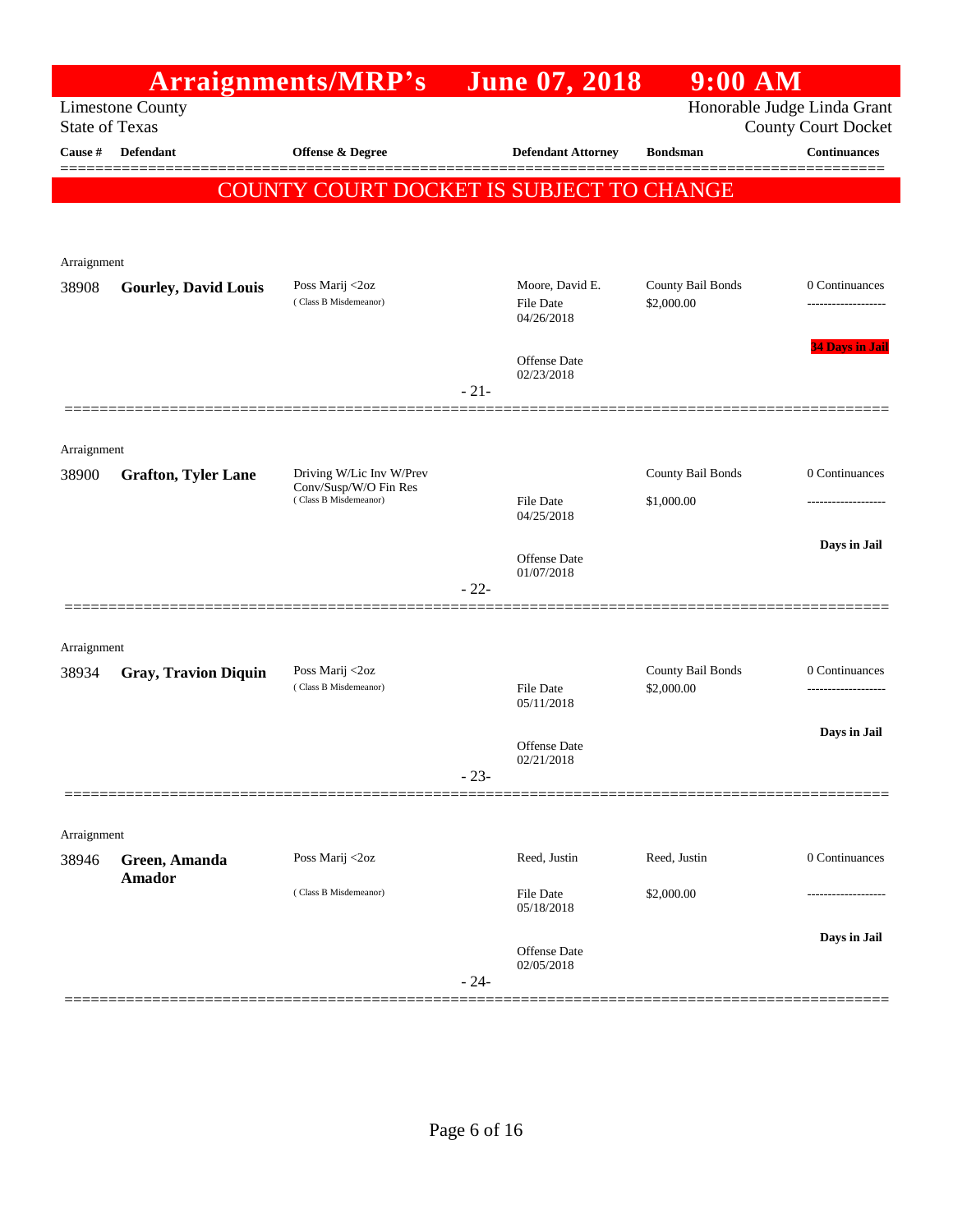|                       |                             | Arraignments/MRP's                                |        | <b>June 07, 2018</b>                       | $9:00$ AM                              |                                                           |
|-----------------------|-----------------------------|---------------------------------------------------|--------|--------------------------------------------|----------------------------------------|-----------------------------------------------------------|
| <b>State of Texas</b> | <b>Limestone County</b>     |                                                   |        |                                            |                                        | Honorable Judge Linda Grant<br><b>County Court Docket</b> |
| Cause #               | <b>Defendant</b>            | Offense & Degree                                  |        | <b>Defendant Attorney</b>                  | <b>Bondsman</b>                        | <b>Continuances</b>                                       |
|                       |                             | COUNTY COURT DOCKET IS SUBJECT TO CHANGE          |        |                                            |                                        |                                                           |
|                       |                             |                                                   |        |                                            |                                        |                                                           |
| Arraignment           |                             |                                                   |        |                                            |                                        |                                                           |
| 38908                 | <b>Gourley, David Louis</b> | Poss Marij <2oz<br>(Class B Misdemeanor)          |        | Moore, David E.<br>File Date<br>04/26/2018 | <b>County Bail Bonds</b><br>\$2,000.00 | 0 Continuances                                            |
|                       |                             |                                                   | $-21-$ | Offense Date<br>02/23/2018                 |                                        | <b>34 Days in Jail</b>                                    |
|                       |                             |                                                   |        |                                            |                                        |                                                           |
| Arraignment           |                             |                                                   |        |                                            |                                        |                                                           |
| 38900                 | <b>Grafton, Tyler Lane</b>  | Driving W/Lic Inv W/Prev<br>Conv/Susp/W/O Fin Res |        |                                            | <b>County Bail Bonds</b>               | 0 Continuances                                            |
|                       |                             | (Class B Misdemeanor)                             |        | File Date<br>04/25/2018                    | \$1,000.00                             |                                                           |
|                       |                             |                                                   |        |                                            |                                        | Days in Jail                                              |
|                       |                             |                                                   | $-22-$ | <b>Offense</b> Date<br>01/07/2018          |                                        |                                                           |
| Arraignment           |                             |                                                   |        |                                            |                                        |                                                           |
| 38934                 | <b>Gray, Travion Diquin</b> | Poss Marij <2oz                                   |        |                                            | <b>County Bail Bonds</b>               | 0 Continuances                                            |
|                       |                             | (Class B Misdemeanor)                             |        | <b>File Date</b><br>05/11/2018             | \$2,000.00                             |                                                           |
|                       |                             |                                                   |        |                                            |                                        | Days in Jail                                              |
|                       |                             |                                                   |        | Offense Date<br>02/21/2018                 |                                        |                                                           |
|                       |                             |                                                   | $-23-$ |                                            |                                        |                                                           |
| Arraignment           |                             |                                                   |        |                                            |                                        |                                                           |
| 38946                 | Green, Amanda               | Poss Marij <2oz                                   |        | Reed, Justin                               | Reed, Justin                           | 0 Continuances                                            |
|                       | <b>Amador</b>               | (Class B Misdemeanor)                             |        | <b>File Date</b><br>05/18/2018             | \$2,000.00                             |                                                           |
|                       |                             |                                                   | $-24-$ | Offense Date<br>02/05/2018                 |                                        | Days in Jail                                              |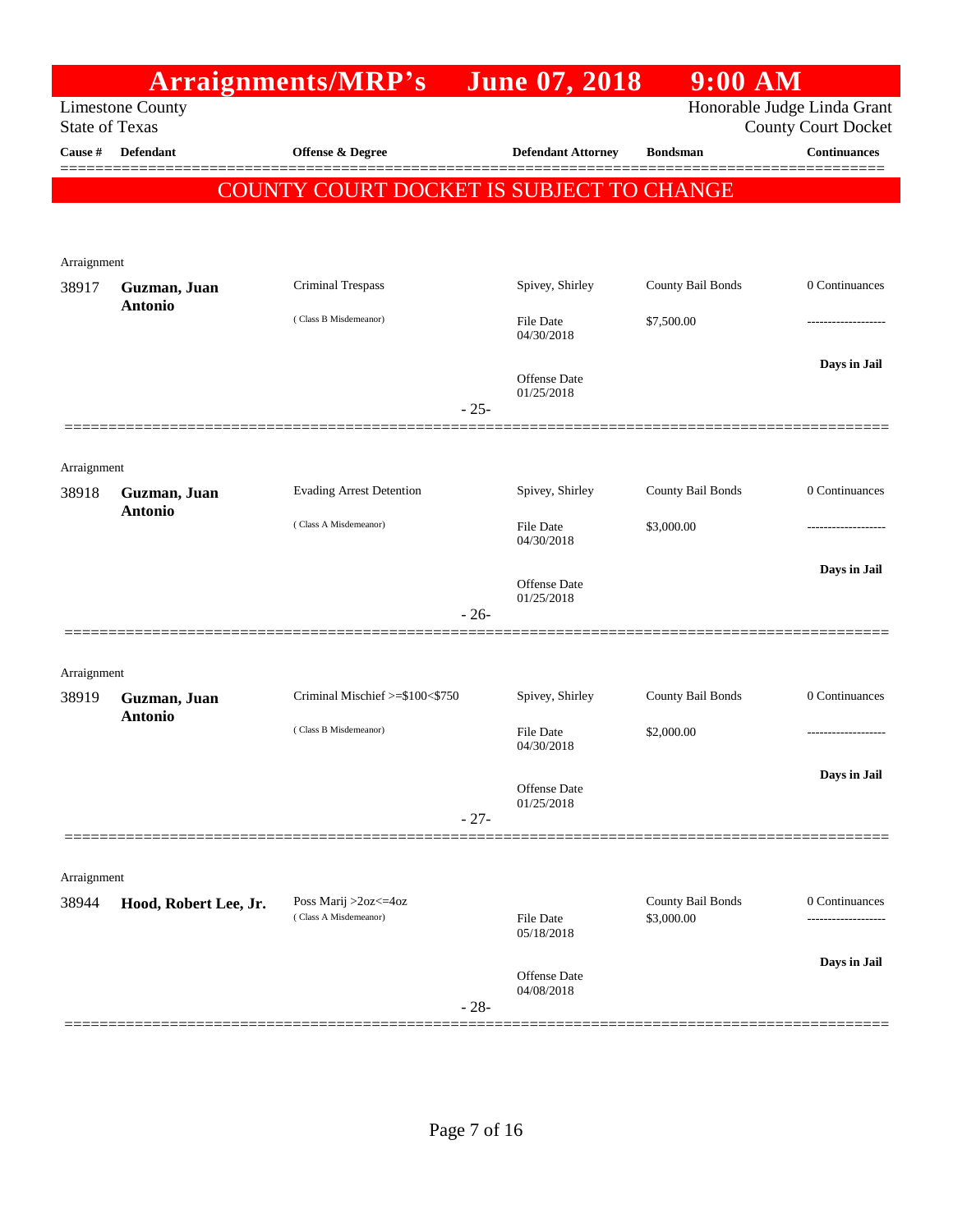|                       |                         | Arraignments/MRP's                            |        | <b>June 07, 2018</b>           | $9:00$ AM                       |                             |
|-----------------------|-------------------------|-----------------------------------------------|--------|--------------------------------|---------------------------------|-----------------------------|
|                       | <b>Limestone County</b> |                                               |        |                                |                                 | Honorable Judge Linda Grant |
| <b>State of Texas</b> |                         |                                               |        |                                |                                 | <b>County Court Docket</b>  |
| Cause #               | <b>Defendant</b>        | Offense & Degree                              |        | <b>Defendant Attorney</b>      | <b>Bondsman</b>                 | <b>Continuances</b>         |
|                       |                         | COUNTY COURT DOCKET IS SUBJECT TO CHANGE      |        |                                |                                 |                             |
|                       |                         |                                               |        |                                |                                 |                             |
|                       |                         |                                               |        |                                |                                 |                             |
| Arraignment<br>38917  | Guzman, Juan            | Criminal Trespass                             |        | Spivey, Shirley                | County Bail Bonds               | 0 Continuances              |
|                       | <b>Antonio</b>          |                                               |        |                                |                                 |                             |
|                       |                         | (Class B Misdemeanor)                         |        | <b>File Date</b><br>04/30/2018 | \$7,500.00                      |                             |
|                       |                         |                                               |        |                                |                                 | Days in Jail                |
|                       |                         |                                               |        | Offense Date<br>01/25/2018     |                                 |                             |
|                       |                         |                                               | $-25-$ |                                |                                 |                             |
|                       |                         |                                               |        |                                |                                 |                             |
| Arraignment           |                         |                                               |        |                                |                                 |                             |
| 38918                 | Guzman, Juan            | <b>Evading Arrest Detention</b>               |        | Spivey, Shirley                | County Bail Bonds               | 0 Continuances              |
|                       | <b>Antonio</b>          | (Class A Misdemeanor)                         |        | <b>File Date</b>               | \$3,000.00                      |                             |
|                       |                         |                                               |        | 04/30/2018                     |                                 |                             |
|                       |                         |                                               |        | Offense Date                   |                                 | Days in Jail                |
|                       |                         |                                               | $-26-$ | 01/25/2018                     |                                 |                             |
|                       |                         |                                               |        |                                |                                 |                             |
|                       |                         |                                               |        |                                |                                 |                             |
| Arraignment<br>38919  | Guzman, Juan            | Criminal Mischief >=\$100<\$750               |        | Spivey, Shirley                | County Bail Bonds               | 0 Continuances              |
|                       | <b>Antonio</b>          |                                               |        |                                |                                 |                             |
|                       |                         | (Class B Misdemeanor)                         |        | <b>File Date</b><br>04/30/2018 | \$2,000.00                      |                             |
|                       |                         |                                               |        |                                |                                 | Days in Jail                |
|                       |                         |                                               |        | Offense Date<br>01/25/2018     |                                 |                             |
|                       |                         |                                               | $-27-$ |                                |                                 |                             |
|                       |                         |                                               |        |                                |                                 |                             |
| Arraignment           |                         |                                               |        |                                |                                 |                             |
| 38944                 | Hood, Robert Lee, Jr.   | Poss Marij >2oz<=4oz<br>(Class A Misdemeanor) |        | <b>File Date</b>               | County Bail Bonds<br>\$3,000.00 | 0 Continuances              |
|                       |                         |                                               |        | 05/18/2018                     |                                 |                             |
|                       |                         |                                               |        |                                |                                 | Days in Jail                |
|                       |                         |                                               |        | Offense Date<br>04/08/2018     |                                 |                             |
|                       |                         |                                               | $-28-$ |                                |                                 |                             |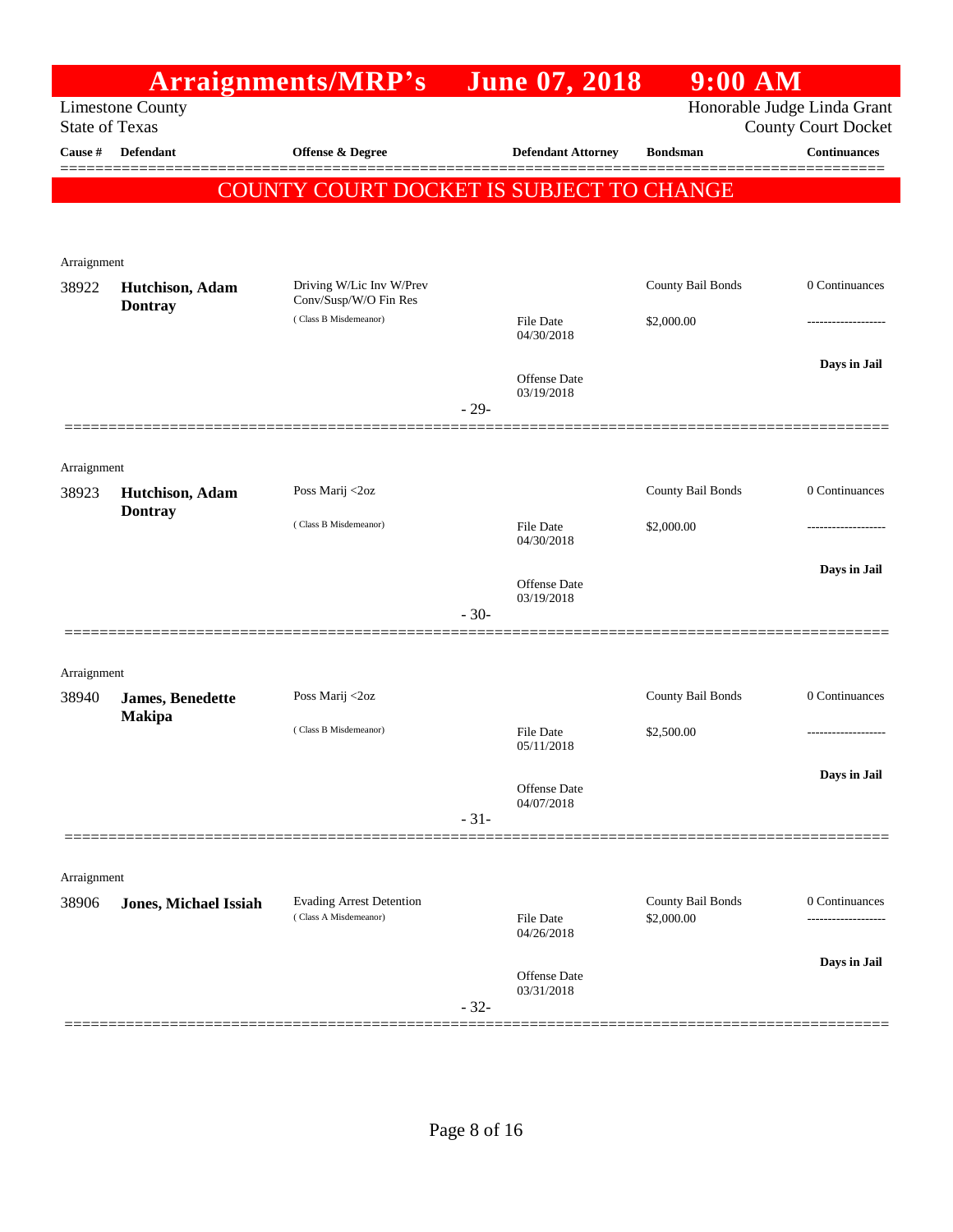|                       |                                   | <b>Arraignments/MRP's</b>                                |        | <b>June 07, 2018</b>           | $9:00$ AM                              |                                                           |
|-----------------------|-----------------------------------|----------------------------------------------------------|--------|--------------------------------|----------------------------------------|-----------------------------------------------------------|
| <b>State of Texas</b> | <b>Limestone County</b>           |                                                          |        |                                |                                        | Honorable Judge Linda Grant<br><b>County Court Docket</b> |
| Cause #               | <b>Defendant</b>                  | Offense & Degree                                         |        | <b>Defendant Attorney</b>      | <b>Bondsman</b>                        | <b>Continuances</b>                                       |
|                       |                                   | COUNTY COURT DOCKET IS SUBJECT TO CHANGE                 |        |                                |                                        |                                                           |
|                       |                                   |                                                          |        |                                |                                        |                                                           |
| Arraignment           |                                   |                                                          |        |                                |                                        |                                                           |
| 38922                 | Hutchison, Adam<br><b>Dontray</b> | Driving W/Lic Inv W/Prev<br>Conv/Susp/W/O Fin Res        |        |                                | County Bail Bonds                      | 0 Continuances                                            |
|                       |                                   | (Class B Misdemeanor)                                    |        | <b>File Date</b><br>04/30/2018 | \$2,000.00                             |                                                           |
|                       |                                   |                                                          |        | Offense Date                   |                                        | Days in Jail                                              |
|                       |                                   |                                                          | $-29-$ | 03/19/2018                     |                                        |                                                           |
| Arraignment           |                                   |                                                          |        |                                |                                        |                                                           |
| 38923                 | Hutchison, Adam<br><b>Dontray</b> | Poss Marij <2oz                                          |        |                                | County Bail Bonds                      | 0 Continuances                                            |
|                       |                                   | (Class B Misdemeanor)                                    |        | <b>File Date</b><br>04/30/2018 | \$2,000.00                             |                                                           |
|                       |                                   |                                                          |        | Offense Date                   |                                        | Days in Jail                                              |
|                       |                                   |                                                          | $-30-$ | 03/19/2018                     |                                        |                                                           |
| Arraignment           |                                   |                                                          |        |                                |                                        |                                                           |
| 38940                 | James, Benedette                  | Poss Marij <2oz                                          |        |                                | County Bail Bonds                      | 0 Continuances                                            |
|                       | <b>Makipa</b>                     | (Class B Misdemeanor)                                    |        | File Date<br>05/11/2018        | \$2,500.00                             |                                                           |
|                       |                                   |                                                          |        | Offense Date                   |                                        | Days in Jail                                              |
|                       |                                   |                                                          | $-31-$ | 04/07/2018                     |                                        |                                                           |
|                       |                                   |                                                          |        |                                |                                        |                                                           |
| Arraignment           |                                   |                                                          |        |                                |                                        |                                                           |
| 38906                 | <b>Jones, Michael Issiah</b>      | <b>Evading Arrest Detention</b><br>(Class A Misdemeanor) |        | <b>File Date</b><br>04/26/2018 | <b>County Bail Bonds</b><br>\$2,000.00 | 0 Continuances<br>.                                       |
|                       |                                   |                                                          |        |                                |                                        | Days in Jail                                              |
|                       |                                   |                                                          | $-32-$ | Offense Date<br>03/31/2018     |                                        |                                                           |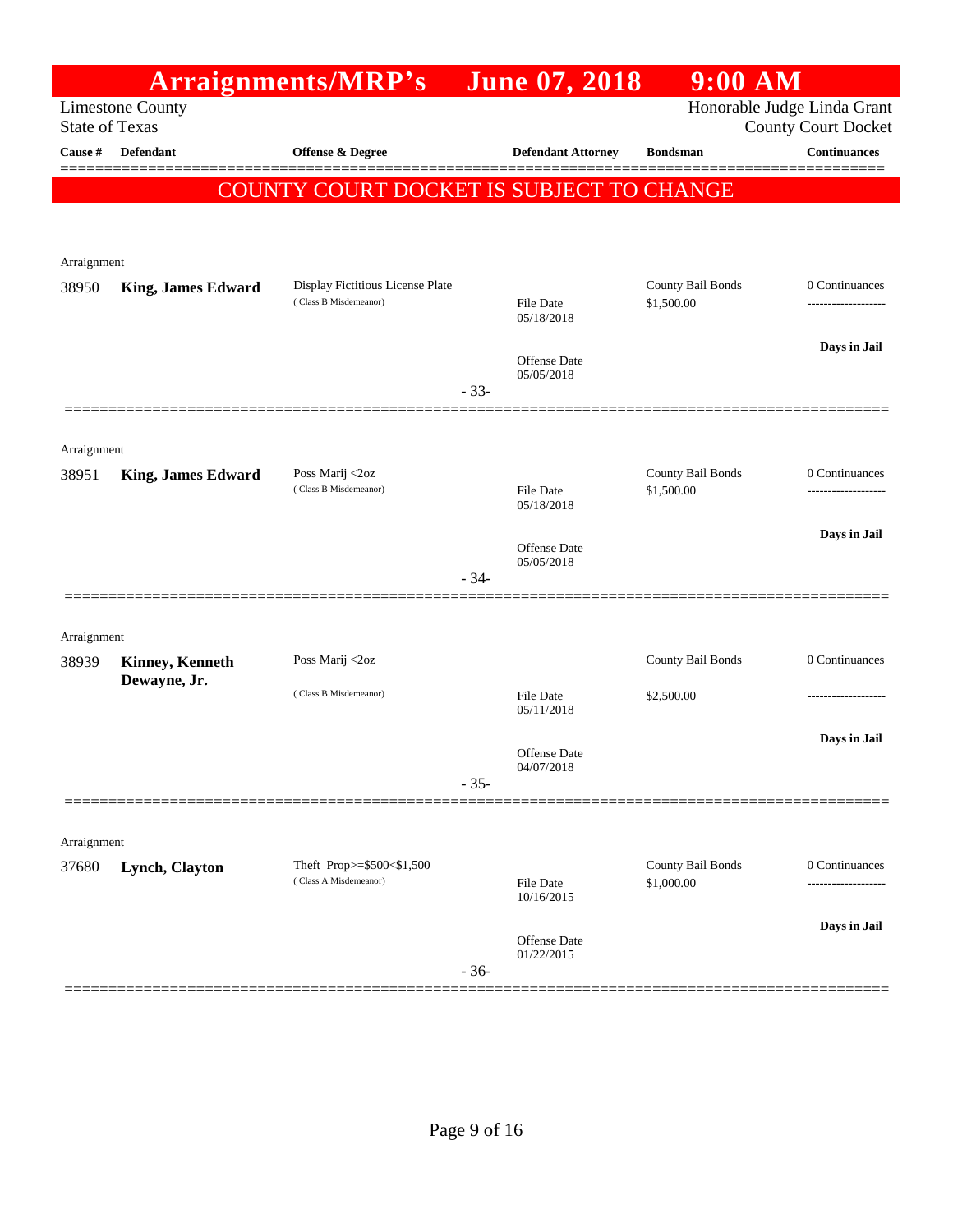|                       |                           | Arraignments/MRP's                                 | <b>June 07, 2018</b>              | $9:00$ AM                       |                                                           |
|-----------------------|---------------------------|----------------------------------------------------|-----------------------------------|---------------------------------|-----------------------------------------------------------|
| <b>State of Texas</b> | <b>Limestone County</b>   |                                                    |                                   |                                 | Honorable Judge Linda Grant<br><b>County Court Docket</b> |
| Cause #               | <b>Defendant</b>          | Offense & Degree                                   | <b>Defendant Attorney</b>         | <b>Bondsman</b>                 | <b>Continuances</b>                                       |
|                       |                           | COUNTY COURT DOCKET IS SUBJECT TO CHANGE           |                                   |                                 |                                                           |
|                       |                           |                                                    |                                   |                                 |                                                           |
| Arraignment<br>38950  | <b>King, James Edward</b> | Display Fictitious License Plate                   |                                   | County Bail Bonds               | 0 Continuances                                            |
|                       |                           | (Class B Misdemeanor)                              | <b>File Date</b><br>05/18/2018    | \$1,500.00                      |                                                           |
|                       |                           |                                                    | Offense Date<br>05/05/2018        |                                 | Days in Jail                                              |
|                       |                           |                                                    | $-33-$                            |                                 |                                                           |
| Arraignment           |                           |                                                    |                                   |                                 |                                                           |
| 38951                 | <b>King, James Edward</b> | Poss Marij <2oz<br>(Class B Misdemeanor)           | <b>File Date</b><br>05/18/2018    | County Bail Bonds<br>\$1,500.00 | 0 Continuances                                            |
|                       |                           |                                                    | <b>Offense</b> Date               |                                 | Days in Jail                                              |
|                       | ==================        |                                                    | 05/05/2018<br>$-34-$              |                                 |                                                           |
| Arraignment           |                           |                                                    |                                   |                                 |                                                           |
| 38939                 | Kinney, Kenneth           | Poss Marij <2oz                                    |                                   | County Bail Bonds               | 0 Continuances                                            |
|                       | Dewayne, Jr.              | (Class B Misdemeanor)                              | File Date<br>05/11/2018           | \$2,500.00                      |                                                           |
|                       |                           |                                                    | <b>Offense Date</b><br>04/07/2018 |                                 | Days in Jail                                              |
|                       |                           |                                                    | $-35-$                            |                                 |                                                           |
| Arraignment           |                           |                                                    |                                   |                                 |                                                           |
| 37680                 | Lynch, Clayton            | Theft Prop>=\$500<\$1,500<br>(Class A Misdemeanor) | <b>File Date</b><br>10/16/2015    | County Bail Bonds<br>\$1,000.00 | 0 Continuances                                            |
|                       |                           |                                                    | <b>Offense Date</b>               |                                 | Days in Jail                                              |
|                       |                           |                                                    | 01/22/2015<br>$-36-$              |                                 |                                                           |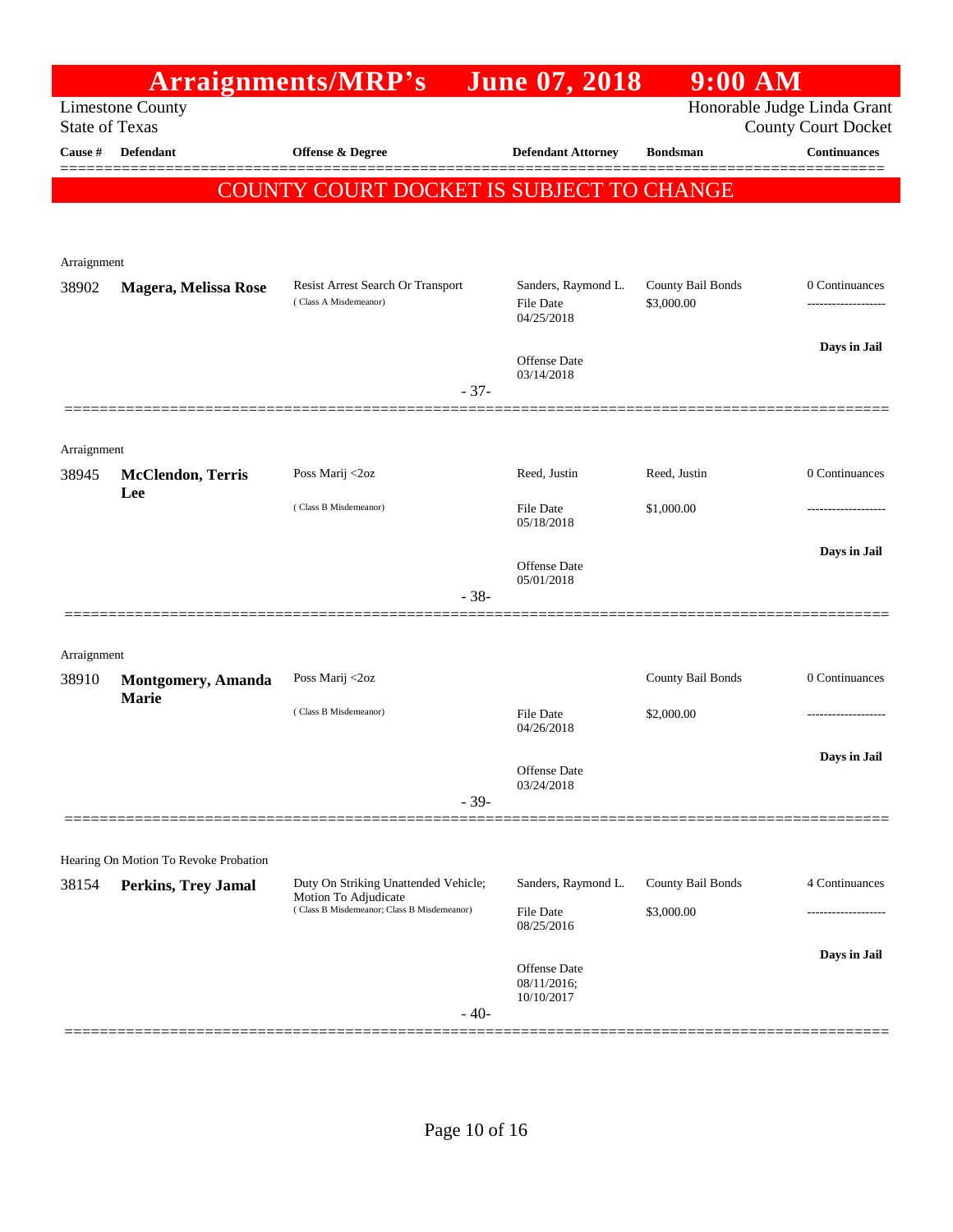|                       |                                       | Arraignments/MRP's                                           |        | <b>June 07, 2018</b>                           | $9:00$ AM                       |                                                           |
|-----------------------|---------------------------------------|--------------------------------------------------------------|--------|------------------------------------------------|---------------------------------|-----------------------------------------------------------|
| <b>State of Texas</b> | <b>Limestone County</b>               |                                                              |        |                                                |                                 | Honorable Judge Linda Grant<br><b>County Court Docket</b> |
| Cause #               | <b>Defendant</b>                      | Offense & Degree                                             |        | <b>Defendant Attorney</b>                      | <b>Bondsman</b>                 | <b>Continuances</b>                                       |
|                       |                                       |                                                              |        |                                                |                                 |                                                           |
|                       |                                       | COUNTY COURT DOCKET IS SUBJECT TO CHANGE                     |        |                                                |                                 |                                                           |
|                       |                                       |                                                              |        |                                                |                                 |                                                           |
| Arraignment           |                                       |                                                              |        |                                                |                                 |                                                           |
| 38902                 | Magera, Melissa Rose                  | Resist Arrest Search Or Transport<br>(Class A Misdemeanor)   |        | Sanders, Raymond L.<br>File Date<br>04/25/2018 | County Bail Bonds<br>\$3,000.00 | 0 Continuances                                            |
|                       |                                       |                                                              |        |                                                |                                 | Days in Jail                                              |
|                       |                                       |                                                              |        | Offense Date<br>03/14/2018                     |                                 |                                                           |
|                       |                                       |                                                              | $-37-$ |                                                |                                 |                                                           |
|                       |                                       |                                                              |        |                                                |                                 |                                                           |
| Arraignment<br>38945  | <b>McClendon</b> , Terris             | Poss Marij <2oz                                              |        | Reed, Justin                                   | Reed, Justin                    | 0 Continuances                                            |
|                       | Lee                                   | (Class B Misdemeanor)                                        |        |                                                |                                 |                                                           |
|                       |                                       |                                                              |        | <b>File Date</b><br>05/18/2018                 | \$1,000.00                      |                                                           |
|                       |                                       |                                                              |        | Offense Date                                   |                                 | Days in Jail                                              |
|                       |                                       |                                                              | $-38-$ | 05/01/2018                                     |                                 |                                                           |
|                       |                                       |                                                              |        |                                                |                                 |                                                           |
| Arraignment           |                                       |                                                              |        |                                                |                                 |                                                           |
| 38910                 | <b>Montgomery, Amanda</b>             | Poss Marij <2oz                                              |        |                                                | County Bail Bonds               | 0 Continuances                                            |
|                       | <b>Marie</b>                          | (Class B Misdemeanor)                                        |        | <b>File Date</b>                               | \$2,000.00                      |                                                           |
|                       |                                       |                                                              |        | 04/26/2018                                     |                                 |                                                           |
|                       |                                       |                                                              |        | Offense Date                                   |                                 | Days in Jail                                              |
|                       |                                       |                                                              | $-39-$ | 03/24/2018                                     |                                 |                                                           |
|                       |                                       |                                                              |        |                                                |                                 |                                                           |
|                       | Hearing On Motion To Revoke Probation |                                                              |        |                                                |                                 |                                                           |
| 38154                 | Perkins, Trey Jamal                   | Duty On Striking Unattended Vehicle;<br>Motion To Adjudicate |        | Sanders, Raymond L.                            | County Bail Bonds               | 4 Continuances                                            |
|                       |                                       | (Class B Misdemeanor; Class B Misdemeanor)                   |        | <b>File Date</b><br>08/25/2016                 | \$3,000.00                      |                                                           |
|                       |                                       |                                                              |        |                                                |                                 | Days in Jail                                              |
|                       |                                       |                                                              |        | Offense Date<br>08/11/2016;                    |                                 |                                                           |
|                       |                                       |                                                              | $-40-$ | 10/10/2017                                     |                                 |                                                           |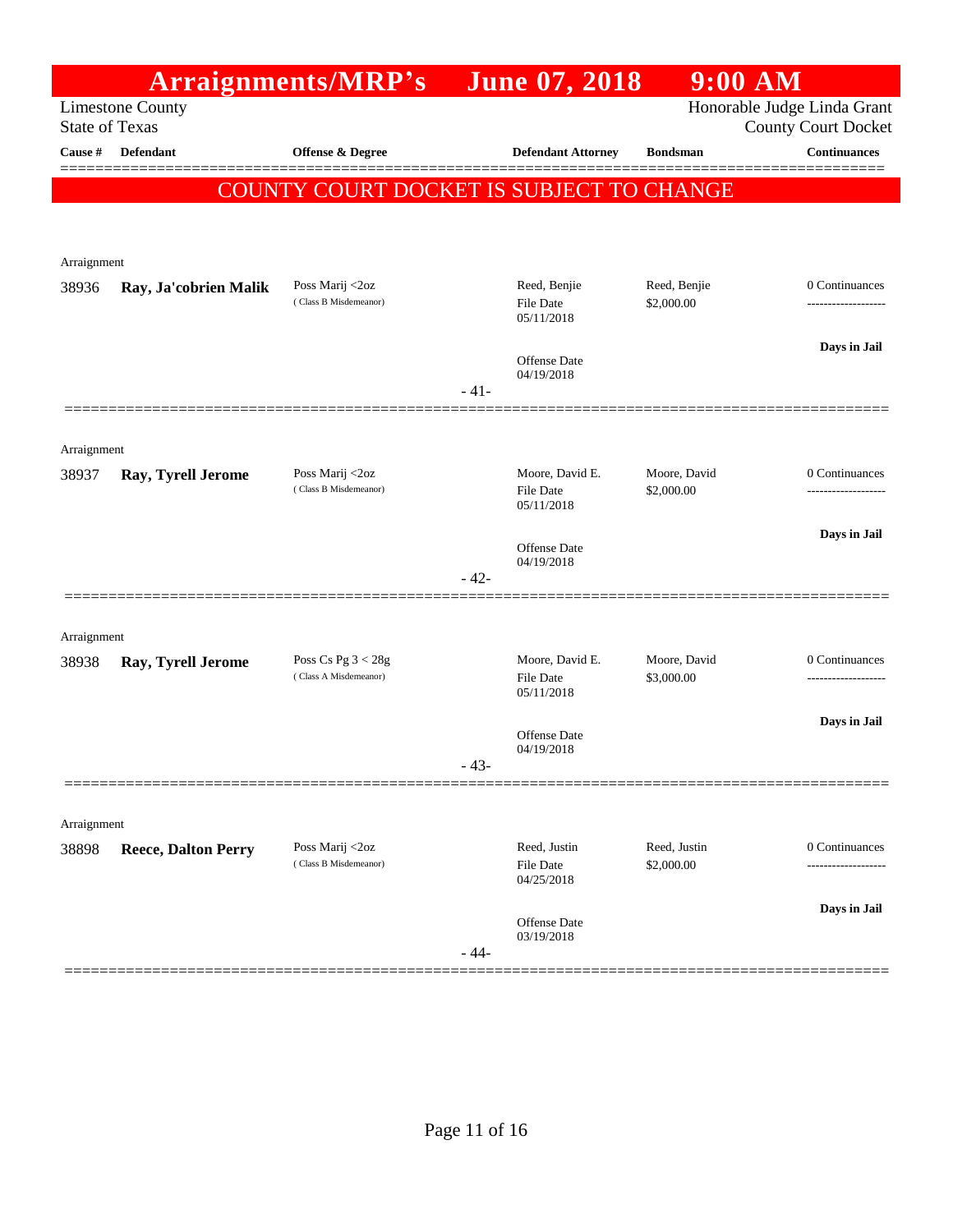|                                                  |                                                                        |                                       | <b>June 07, 2018</b>             | $9:00$ AM                                                               |                                                          |
|--------------------------------------------------|------------------------------------------------------------------------|---------------------------------------|----------------------------------|-------------------------------------------------------------------------|----------------------------------------------------------|
| <b>Limestone County</b><br><b>State of Texas</b> |                                                                        |                                       |                                  | Honorable Judge Linda Grant<br><b>County Court Docket</b>               |                                                          |
| Defendant                                        | Offense & Degree                                                       |                                       | <b>Defendant Attorney</b>        | <b>Bondsman</b>                                                         | <b>Continuances</b><br>=======                           |
|                                                  |                                                                        |                                       |                                  |                                                                         |                                                          |
|                                                  |                                                                        |                                       |                                  |                                                                         |                                                          |
| Arraignment                                      |                                                                        |                                       |                                  |                                                                         |                                                          |
| Ray, Ja'cobrien Malik                            | Poss Marij <2oz<br>(Class B Misdemeanor)                               |                                       | Reed, Benjie<br>File Date        | Reed, Benjie<br>\$2,000.00                                              | 0 Continuances                                           |
|                                                  |                                                                        |                                       |                                  |                                                                         |                                                          |
|                                                  |                                                                        |                                       | Offense Date<br>04/19/2018       |                                                                         | Days in Jail                                             |
|                                                  |                                                                        |                                       |                                  |                                                                         |                                                          |
|                                                  |                                                                        |                                       |                                  |                                                                         |                                                          |
|                                                  |                                                                        |                                       |                                  |                                                                         | 0 Continuances                                           |
|                                                  | (Class B Misdemeanor)                                                  |                                       | File Date<br>05/11/2018          | \$2,000.00                                                              |                                                          |
|                                                  |                                                                        |                                       | Offense Date                     |                                                                         | Days in Jail                                             |
|                                                  |                                                                        | $-42-$                                |                                  |                                                                         |                                                          |
|                                                  |                                                                        |                                       |                                  |                                                                         |                                                          |
|                                                  | Poss Cs Pg $3 < 28g$                                                   |                                       | Moore, David E.                  | Moore, David                                                            | 0 Continuances                                           |
|                                                  | (Class A Misdemeanor)                                                  |                                       | <b>File Date</b><br>05/11/2018   | \$3,000.00                                                              |                                                          |
|                                                  |                                                                        |                                       | Offense Date                     |                                                                         | Days in Jail                                             |
|                                                  |                                                                        | $43 -$                                |                                  |                                                                         |                                                          |
|                                                  |                                                                        |                                       |                                  |                                                                         |                                                          |
| Arraignment                                      |                                                                        |                                       |                                  |                                                                         |                                                          |
| <b>Reece, Dalton Perry</b>                       | Poss Marij <2oz<br>(Class B Misdemeanor)                               |                                       | Reed, Justin<br><b>File Date</b> | Reed, Justin<br>\$2,000.00                                              | 0 Continuances                                           |
|                                                  |                                                                        |                                       |                                  |                                                                         | Days in Jail                                             |
|                                                  |                                                                        |                                       | Offense Date<br>03/19/2018       |                                                                         |                                                          |
|                                                  | Arraignment<br>Ray, Tyrell Jerome<br>Arraignment<br>Ray, Tyrell Jerome | Arraignments/MRP's<br>Poss Marij <2oz | $-41-$<br>$-44-$                 | 05/11/2018<br>Moore, David E.<br>04/19/2018<br>04/19/2018<br>04/25/2018 | COUNTY COURT DOCKET IS SUBJECT TO CHANGE<br>Moore, David |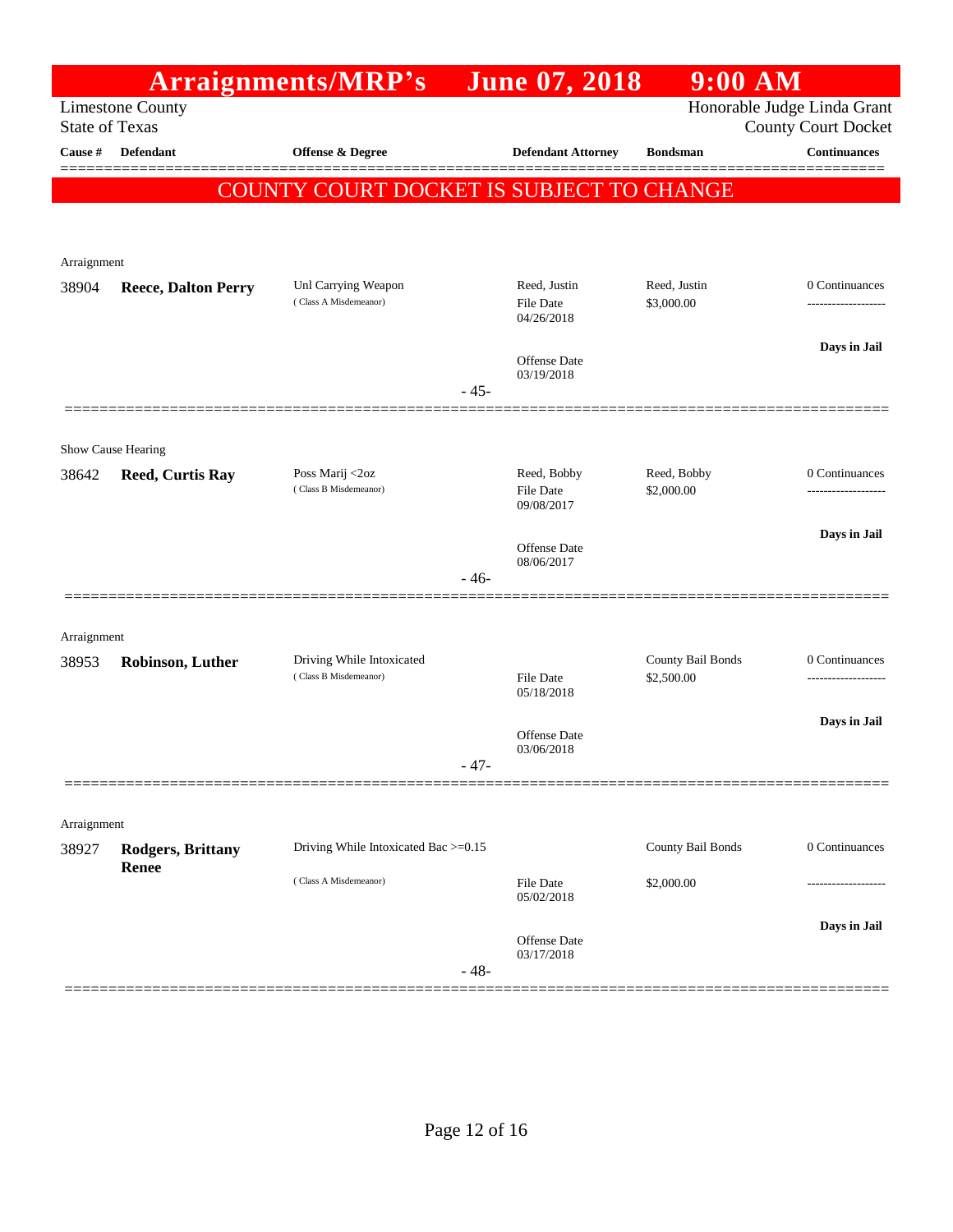|             |                                                  | <b>Arraignments/MRP's</b>                    |        | <b>June 07, 2018</b>           | $9:00$ AM         |                                                           |
|-------------|--------------------------------------------------|----------------------------------------------|--------|--------------------------------|-------------------|-----------------------------------------------------------|
|             | <b>Limestone County</b><br><b>State of Texas</b> |                                              |        |                                |                   | Honorable Judge Linda Grant<br><b>County Court Docket</b> |
| Cause #     | <b>Defendant</b>                                 | Offense & Degree                             |        | <b>Defendant Attorney</b>      | <b>Bondsman</b>   | <b>Continuances</b>                                       |
|             |                                                  | COUNTY COURT DOCKET IS SUBJECT TO CHANGE     |        |                                |                   |                                                           |
|             |                                                  |                                              |        |                                |                   |                                                           |
|             |                                                  |                                              |        |                                |                   |                                                           |
| Arraignment |                                                  |                                              |        | Reed, Justin                   | Reed, Justin      | 0 Continuances                                            |
| 38904       | <b>Reece, Dalton Perry</b>                       | Unl Carrying Weapon<br>(Class A Misdemeanor) |        | File Date<br>04/26/2018        | \$3,000.00        | -------------------                                       |
|             |                                                  |                                              |        | <b>Offense Date</b>            |                   | Days in Jail                                              |
|             |                                                  |                                              | $-45-$ | 03/19/2018                     |                   |                                                           |
|             |                                                  |                                              |        |                                |                   |                                                           |
|             | Show Cause Hearing                               |                                              |        |                                |                   |                                                           |
| 38642       | <b>Reed, Curtis Ray</b>                          | Poss Marij <2oz                              |        | Reed, Bobby                    | Reed, Bobby       | 0 Continuances                                            |
|             |                                                  | (Class B Misdemeanor)                        |        | <b>File Date</b><br>09/08/2017 | \$2,000.00        |                                                           |
|             |                                                  |                                              |        | <b>Offense Date</b>            |                   | Days in Jail                                              |
|             |                                                  |                                              |        | 08/06/2017                     |                   |                                                           |
|             |                                                  |                                              | $-46-$ |                                |                   |                                                           |
| Arraignment |                                                  |                                              |        |                                |                   |                                                           |
| 38953       | Robinson, Luther                                 | Driving While Intoxicated                    |        |                                | County Bail Bonds | 0 Continuances                                            |
|             |                                                  | (Class B Misdemeanor)                        |        | File Date<br>05/18/2018        | \$2,500.00        | .                                                         |
|             |                                                  |                                              |        |                                |                   | Days in Jail                                              |
|             |                                                  |                                              |        | Offense Date<br>03/06/2018     |                   |                                                           |
|             |                                                  |                                              | - 47-  |                                |                   |                                                           |
| Arraignment |                                                  |                                              |        |                                |                   |                                                           |
| 38927       | <b>Rodgers, Brittany</b>                         | Driving While Intoxicated Bac >=0.15         |        |                                | County Bail Bonds | 0 Continuances                                            |
|             | <b>Renee</b>                                     | (Class A Misdemeanor)                        |        | File Date<br>05/02/2018        | \$2,000.00        |                                                           |
|             |                                                  |                                              |        |                                |                   | Days in Jail                                              |
|             |                                                  |                                              |        | Offense Date<br>03/17/2018     |                   |                                                           |
|             |                                                  |                                              | $-48-$ |                                |                   |                                                           |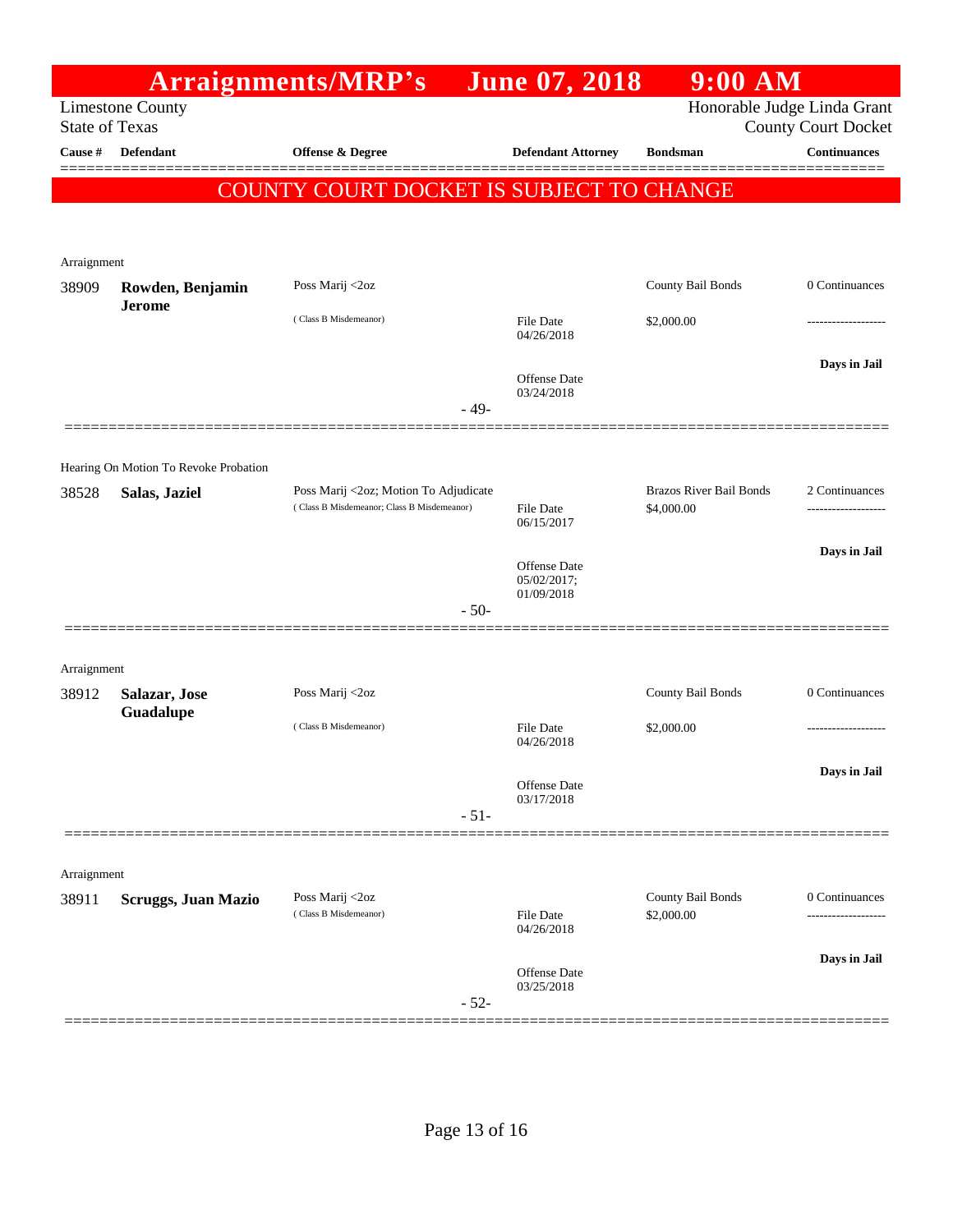| <b>Arraignments/MRP's</b>                        |                                       |                                                                                     | <b>June 07, 2018</b>           | $9:00$ AM                                                 |                                       |
|--------------------------------------------------|---------------------------------------|-------------------------------------------------------------------------------------|--------------------------------|-----------------------------------------------------------|---------------------------------------|
| <b>Limestone County</b><br><b>State of Texas</b> |                                       |                                                                                     |                                | Honorable Judge Linda Grant<br><b>County Court Docket</b> |                                       |
| Cause #                                          | <b>Defendant</b>                      | Offense & Degree                                                                    | <b>Defendant Attorney</b>      | <b>Bondsman</b>                                           | Continuances                          |
|                                                  |                                       |                                                                                     |                                |                                                           |                                       |
|                                                  |                                       | COUNTY COURT DOCKET IS SUBJECT TO CHANGE                                            |                                |                                                           |                                       |
|                                                  |                                       |                                                                                     |                                |                                                           |                                       |
| Arraignment<br>38909                             | Rowden, Benjamin                      | Poss Marij <2oz                                                                     |                                | County Bail Bonds                                         | 0 Continuances                        |
|                                                  | <b>Jerome</b>                         | (Class B Misdemeanor)                                                               | File Date                      | \$2,000.00                                                |                                       |
|                                                  |                                       |                                                                                     | 04/26/2018                     |                                                           |                                       |
|                                                  |                                       |                                                                                     | Offense Date                   |                                                           | Days in Jail                          |
|                                                  |                                       | $-49-$                                                                              | 03/24/2018                     |                                                           |                                       |
|                                                  |                                       |                                                                                     |                                |                                                           |                                       |
|                                                  | Hearing On Motion To Revoke Probation |                                                                                     |                                |                                                           |                                       |
| 38528                                            | Salas, Jaziel                         | Poss Marij <2oz; Motion To Adjudicate<br>(Class B Misdemeanor; Class B Misdemeanor) | <b>File Date</b>               | <b>Brazos River Bail Bonds</b><br>\$4,000.00              | 2 Continuances                        |
|                                                  |                                       |                                                                                     | 06/15/2017                     |                                                           | Days in Jail                          |
|                                                  |                                       |                                                                                     | Offense Date<br>05/02/2017;    |                                                           |                                       |
|                                                  |                                       | $-50-$                                                                              | 01/09/2018                     |                                                           |                                       |
|                                                  |                                       |                                                                                     |                                |                                                           |                                       |
| Arraignment                                      |                                       |                                                                                     |                                |                                                           |                                       |
| 38912                                            | Salazar, Jose<br>Guadalupe            | Poss Marij <2oz                                                                     |                                | County Bail Bonds                                         | 0 Continuances                        |
|                                                  |                                       | (Class B Misdemeanor)                                                               | <b>File Date</b><br>04/26/2018 | \$2,000.00                                                |                                       |
|                                                  |                                       |                                                                                     | Offense Date                   |                                                           | Days in Jail                          |
|                                                  |                                       | $-51-$                                                                              | 03/17/2018                     |                                                           |                                       |
|                                                  |                                       |                                                                                     |                                |                                                           |                                       |
| Arraignment                                      |                                       |                                                                                     |                                |                                                           |                                       |
| 38911                                            | <b>Scruggs, Juan Mazio</b>            | Poss Marij <2oz<br>(Class B Misdemeanor)                                            | File Date                      | County Bail Bonds<br>\$2,000.00                           | 0 Continuances<br>------------------- |
|                                                  |                                       |                                                                                     | 04/26/2018                     |                                                           |                                       |
|                                                  |                                       |                                                                                     | Offense Date                   |                                                           | Days in Jail                          |
|                                                  |                                       | $-52-$                                                                              | 03/25/2018                     |                                                           |                                       |
|                                                  |                                       |                                                                                     |                                |                                                           |                                       |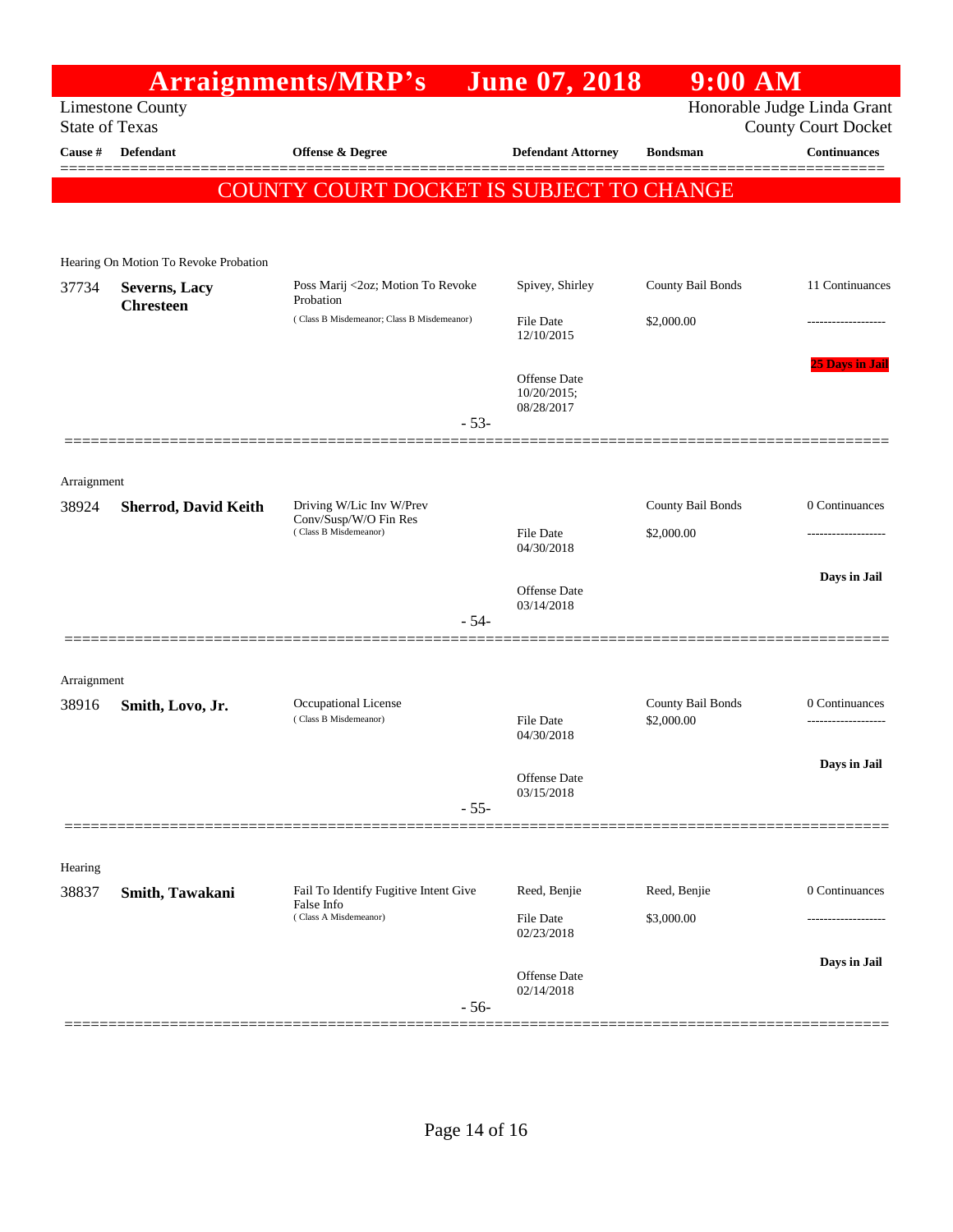| <b>Arraignments/MRP's</b> |                                          |                                                                            | <b>June 07, 2018</b>                      | $9:00$ AM                       |                                                           |
|---------------------------|------------------------------------------|----------------------------------------------------------------------------|-------------------------------------------|---------------------------------|-----------------------------------------------------------|
| <b>State of Texas</b>     | <b>Limestone County</b>                  |                                                                            |                                           |                                 | Honorable Judge Linda Grant<br><b>County Court Docket</b> |
| Cause #                   | Defendant                                | Offense & Degree                                                           | <b>Defendant Attorney</b>                 | <b>Bondsman</b>                 | <b>Continuances</b>                                       |
|                           |                                          |                                                                            |                                           |                                 | ====                                                      |
|                           |                                          | COUNTY COURT DOCKET IS SUBJECT TO CHANGE                                   |                                           |                                 |                                                           |
|                           | Hearing On Motion To Revoke Probation    |                                                                            |                                           |                                 |                                                           |
| 37734                     | <b>Severns, Lacy</b><br><b>Chresteen</b> | Poss Marij <2oz; Motion To Revoke<br>Probation                             | Spivey, Shirley                           | County Bail Bonds               | 11 Continuances                                           |
|                           |                                          | (Class B Misdemeanor; Class B Misdemeanor)                                 | File Date<br>12/10/2015                   | \$2,000.00                      |                                                           |
|                           |                                          |                                                                            | Offense Date<br>10/20/2015;<br>08/28/2017 |                                 | <b>25 Days in Jai</b>                                     |
|                           |                                          | $-53-$                                                                     |                                           |                                 |                                                           |
| Arraignment               |                                          |                                                                            |                                           |                                 |                                                           |
| 38924                     | <b>Sherrod, David Keith</b>              | Driving W/Lic Inv W/Prev<br>Conv/Susp/W/O Fin Res<br>(Class B Misdemeanor) |                                           | County Bail Bonds               | 0 Continuances                                            |
|                           |                                          |                                                                            | File Date<br>04/30/2018                   | \$2,000.00                      |                                                           |
|                           |                                          |                                                                            | Offense Date<br>03/14/2018                |                                 | Days in Jail                                              |
|                           |                                          | $-54-$                                                                     |                                           |                                 |                                                           |
| Arraignment               |                                          |                                                                            |                                           |                                 |                                                           |
| 38916                     | Smith, Lovo, Jr.                         | Occupational License<br>(Class B Misdemeanor)                              | <b>File Date</b>                          | County Bail Bonds<br>\$2,000.00 | 0 Continuances                                            |
|                           |                                          |                                                                            | 04/30/2018                                |                                 |                                                           |
|                           |                                          |                                                                            | Offense Date<br>03/15/2018                |                                 | Days in Jail                                              |
|                           |                                          | $-55-$                                                                     |                                           |                                 |                                                           |
| Hearing                   |                                          |                                                                            |                                           |                                 |                                                           |
| 38837                     | Smith, Tawakani                          | Fail To Identify Fugitive Intent Give<br>False Info                        | Reed, Benjie                              | Reed, Benjie                    | 0 Continuances                                            |
|                           |                                          | (Class A Misdemeanor)                                                      | File Date<br>02/23/2018                   | \$3,000.00                      |                                                           |
|                           |                                          |                                                                            | Offense Date                              |                                 | Days in Jail                                              |
|                           |                                          | $-56-$                                                                     | 02/14/2018                                |                                 |                                                           |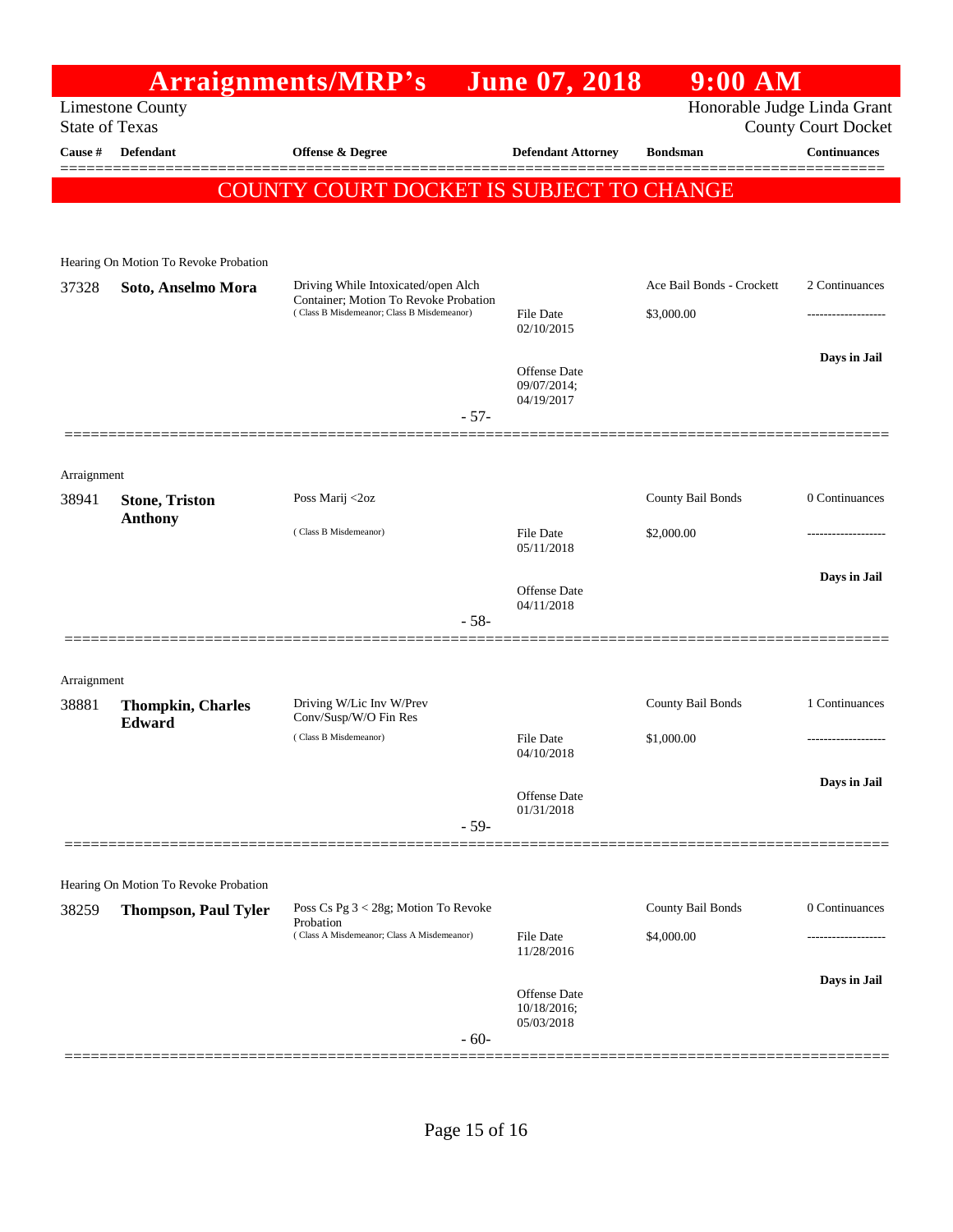## **Arraignments/MRP's** June 07, 2018 9:00 AM<br> **And Honorable Judge**

Limestone County<br>
State of Texas<br>
County Court Docket County Court Docket

| Cause #     | <b>Defendant</b>                                            | <b>Offense &amp; Degree</b>                                                         | <b>Defendant Attorney</b>   | <b>Bondsman</b>           | <b>Continuances</b> |
|-------------|-------------------------------------------------------------|-------------------------------------------------------------------------------------|-----------------------------|---------------------------|---------------------|
|             |                                                             | COUNTY COURT DOCKET IS SUBJECT TO CHANGE                                            |                             |                           |                     |
|             |                                                             |                                                                                     |                             |                           |                     |
|             |                                                             |                                                                                     |                             |                           |                     |
| 37328       | Hearing On Motion To Revoke Probation<br>Soto, Anselmo Mora | Driving While Intoxicated/open Alch                                                 |                             | Ace Bail Bonds - Crockett | 2 Continuances      |
|             |                                                             | Container; Motion To Revoke Probation<br>(Class B Misdemeanor; Class B Misdemeanor) | <b>File Date</b>            | \$3,000.00                |                     |
|             |                                                             |                                                                                     | 02/10/2015                  |                           |                     |
|             |                                                             |                                                                                     | Offense Date<br>09/07/2014; |                           | Days in Jail        |
|             |                                                             | $-57-$                                                                              | 04/19/2017                  |                           |                     |
|             |                                                             |                                                                                     |                             |                           |                     |
| Arraignment |                                                             |                                                                                     |                             |                           |                     |
| 38941       | <b>Stone, Triston</b>                                       | Poss Marij <2oz                                                                     |                             | County Bail Bonds         | 0 Continuances      |
|             | <b>Anthony</b>                                              | (Class B Misdemeanor)                                                               | File Date<br>05/11/2018     | \$2,000.00                |                     |
|             |                                                             |                                                                                     |                             |                           | Days in Jail        |
|             |                                                             |                                                                                     | Offense Date<br>04/11/2018  |                           |                     |
|             |                                                             | $-58-$                                                                              |                             |                           |                     |
|             |                                                             |                                                                                     |                             |                           |                     |
| Arraignment |                                                             |                                                                                     |                             |                           |                     |
| 38881       | <b>Thompkin, Charles</b><br>Edward                          | Driving W/Lic Inv W/Prev<br>Conv/Susp/W/O Fin Res                                   |                             | County Bail Bonds         | 1 Continuances      |
|             |                                                             | (Class B Misdemeanor)                                                               | File Date<br>04/10/2018     | \$1,000.00                |                     |
|             |                                                             |                                                                                     |                             |                           | Days in Jail        |
|             |                                                             |                                                                                     | Offense Date<br>01/31/2018  |                           |                     |
|             |                                                             | $-59-$                                                                              |                             |                           |                     |
|             |                                                             |                                                                                     |                             |                           |                     |
|             | Hearing On Motion To Revoke Probation                       |                                                                                     |                             |                           |                     |
| 38259       | <b>Thompson, Paul Tyler</b>                                 | Poss Cs Pg 3 < 28g; Motion To Revoke<br>Probation                                   |                             | County Bail Bonds         | 0 Continuances      |
|             |                                                             | (Class A Misdemeanor; Class A Misdemeanor)                                          | File Date<br>11/28/2016     | \$4,000.00                |                     |
|             |                                                             |                                                                                     | Offense Date                |                           | Days in Jail        |
|             |                                                             |                                                                                     | 10/18/2016;                 |                           |                     |
|             |                                                             | $-60-$                                                                              | 05/03/2018                  |                           |                     |